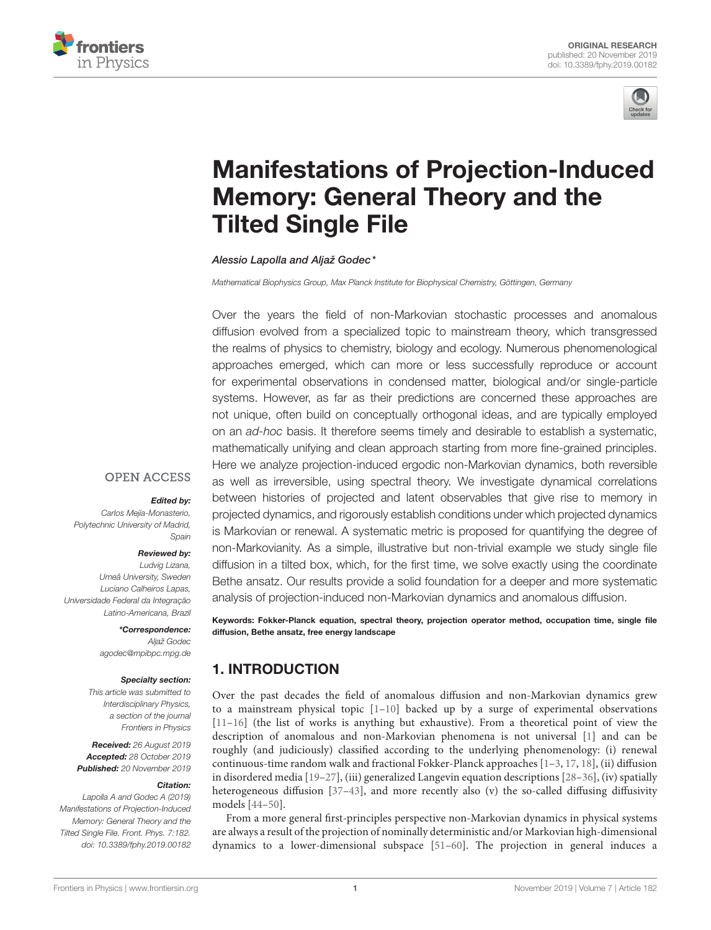



# [Manifestations of Projection-Induced](https://www.frontiersin.org/articles/10.3389/fphy.2019.00182/full) Memory: General Theory and the Tilted Single File

[Alessio Lapolla](http://loop.frontiersin.org/people/827889/overview) and [Aljaž Godec\\*](http://loop.frontiersin.org/people/645006/overview)

Mathematical Biophysics Group, Max Planck Institute for Biophysical Chemistry, Göttingen, Germany

Over the years the field of non-Markovian stochastic processes and anomalous diffusion evolved from a specialized topic to mainstream theory, which transgressed the realms of physics to chemistry, biology and ecology. Numerous phenomenological approaches emerged, which can more or less successfully reproduce or account for experimental observations in condensed matter, biological and/or single-particle systems. However, as far as their predictions are concerned these approaches are not unique, often build on conceptually orthogonal ideas, and are typically employed on an ad-hoc basis. It therefore seems timely and desirable to establish a systematic, mathematically unifying and clean approach starting from more fine-grained principles. Here we analyze projection-induced ergodic non-Markovian dynamics, both reversible as well as irreversible, using spectral theory. We investigate dynamical correlations between histories of projected and latent observables that give rise to memory in projected dynamics, and rigorously establish conditions under which projected dynamics is Markovian or renewal. A systematic metric is proposed for quantifying the degree of non-Markovianity. As a simple, illustrative but non-trivial example we study single file diffusion in a tilted box, which, for the first time, we solve exactly using the coordinate Bethe ansatz. Our results provide a solid foundation for a deeper and more systematic analysis of projection-induced non-Markovian dynamics and anomalous diffusion.

Keywords: Fokker-Planck equation, spectral theory, projection operator method, occupation time, single file diffusion, Bethe ansatz, free energy landscape

# 1. INTRODUCTION

Over the past decades the field of anomalous diffusion and non-Markovian dynamics grew to a mainstream physical topic  $[1-10]$  $[1-10]$  backed up by a surge of experimental observations [\[11](#page-13-2)[–16\]](#page-13-3) (the list of works is anything but exhaustive). From a theoretical point of view the description of anomalous and non-Markovian phenomena is not universal [\[1\]](#page-13-0) and can be roughly (and judiciously) classified according to the underlying phenomenology: (i) renewal continuous-time random walk and fractional Fokker-Planck approaches [\[1–](#page-13-0)[3,](#page-13-4) [17,](#page-13-5) [18\]](#page-13-6), (ii) diffusion in disordered media [\[19–](#page-13-7)[27\]](#page-14-0), (iii) generalized Langevin equation descriptions [\[28–](#page-14-1)[36\]](#page-14-2), (iv) spatially heterogeneous diffusion [\[37](#page-14-3)-43], and more recently also (v) the so-called diffusing diffusivity models [\[44–](#page-14-5)[50\]](#page-14-6).

From a more general first-principles perspective non-Markovian dynamics in physical systems are always a result of the projection of nominally deterministic and/or Markovian high-dimensional dynamics to a lower-dimensional subspace [\[51–](#page-14-7)[60\]](#page-14-8). The projection in general induces a

## **OPEN ACCESS**

#### Edited by:

Carlos Meiía-Monasterio. Polytechnic University of Madrid, Spain

#### Reviewed by:

Ludvig Lizana, Umeå University, Sweden Luciano Calheiros Lapas, Universidade Federal da Integração Latino-Americana, Brazil

### \*Correspondence:

Aljaž Godec [agodec@mpibpc.mpg.de](mailto:agodec@mpibpc.mpg.de)

#### Specialty section:

This article was submitted to Interdisciplinary Physics, a section of the journal Frontiers in Physics

Received: 26 August 2019 Accepted: 28 October 2019 Published: 20 November 2019

#### Citation:

Lapolla A and Godec A (2019) Manifestations of Projection-Induced Memory: General Theory and the Tilted Single File. Front. Phys. 7:182. doi: [10.3389/fphy.2019.00182](https://doi.org/10.3389/fphy.2019.00182)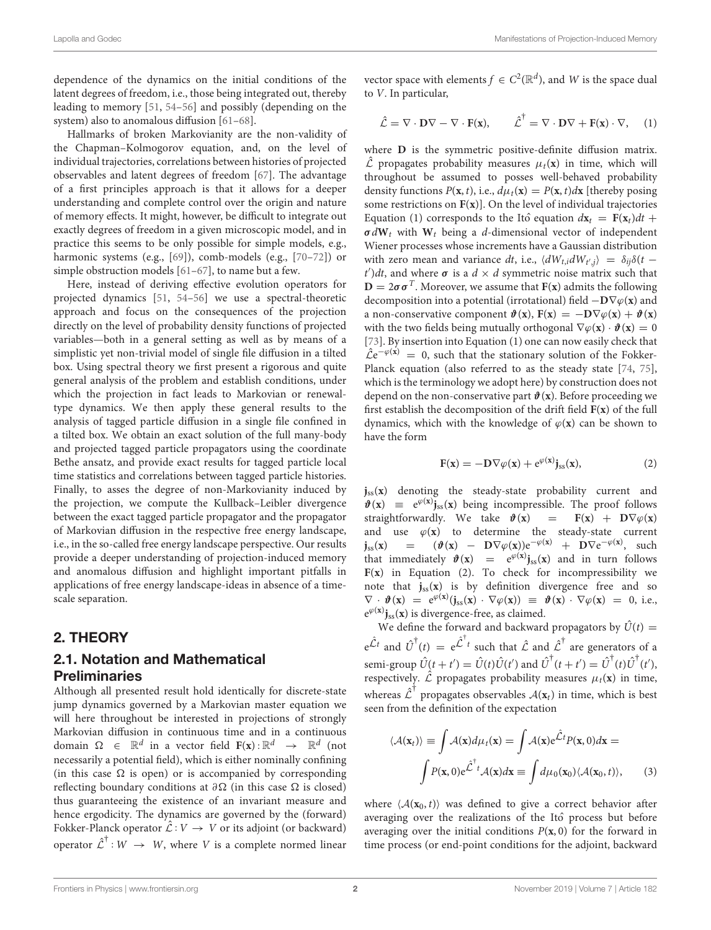dependence of the dynamics on the initial conditions of the latent degrees of freedom, i.e., those being integrated out, thereby leading to memory [\[51,](#page-14-7) [54–](#page-14-9)[56\]](#page-14-10) and possibly (depending on the system) also to anomalous diffusion [\[61](#page-14-11)[–68\]](#page-14-12).

Hallmarks of broken Markovianity are the non-validity of the Chapman–Kolmogorov equation, and, on the level of individual trajectories, correlations between histories of projected observables and latent degrees of freedom [\[67\]](#page-14-13). The advantage of a first principles approach is that it allows for a deeper understanding and complete control over the origin and nature of memory effects. It might, however, be difficult to integrate out exactly degrees of freedom in a given microscopic model, and in practice this seems to be only possible for simple models, e.g., harmonic systems (e.g., [\[69\]](#page-15-0)), comb-models (e.g., [\[70](#page-15-1)-72]) or simple obstruction models [\[61](#page-14-11)[–67\]](#page-14-13), to name but a few.

Here, instead of deriving effective evolution operators for projected dynamics [\[51,](#page-14-7) [54](#page-14-9)[–56\]](#page-14-10) we use a spectral-theoretic approach and focus on the consequences of the projection directly on the level of probability density functions of projected variables—both in a general setting as well as by means of a simplistic yet non-trivial model of single file diffusion in a tilted box. Using spectral theory we first present a rigorous and quite general analysis of the problem and establish conditions, under which the projection in fact leads to Markovian or renewaltype dynamics. We then apply these general results to the analysis of tagged particle diffusion in a single file confined in a tilted box. We obtain an exact solution of the full many-body and projected tagged particle propagators using the coordinate Bethe ansatz, and provide exact results for tagged particle local time statistics and correlations between tagged particle histories. Finally, to asses the degree of non-Markovianity induced by the projection, we compute the Kullback–Leibler divergence between the exact tagged particle propagator and the propagator of Markovian diffusion in the respective free energy landscape, i.e., in the so-called free energy landscape perspective. Our results provide a deeper understanding of projection-induced memory and anomalous diffusion and highlight important pitfalls in applications of free energy landscape-ideas in absence of a timescale separation.

## 2. THEORY

## 2.1. Notation and Mathematical **Preliminaries**

Although all presented result hold identically for discrete-state jump dynamics governed by a Markovian master equation we will here throughout be interested in projections of strongly Markovian diffusion in continuous time and in a continuous domain  $\Omega \in \mathbb{R}^d$  in a vector field  $\mathbf{F}(\mathbf{x}) : \mathbb{R}^d \rightarrow \mathbb{R}^d$  (not necessarily a potential field), which is either nominally confining (in this case  $\Omega$  is open) or is accompanied by corresponding reflecting boundary conditions at  $\partial\Omega$  (in this case  $\Omega$  is closed) thus guaranteeing the existence of an invariant measure and hence ergodicity. The dynamics are governed by the (forward) Fokker-Planck operator  $\hat{\mathcal{L}} : V \to V$  or its adjoint (or backward) operator  $\mathcal{\hat{L}}^{\dagger}: W \rightarrow W$ , where V is a complete normed linear

vector space with elements  $f \in C^2(\mathbb{R}^d)$ , and W is the space dual to V. In particular,

$$
\hat{\mathcal{L}} = \nabla \cdot \mathbf{D} \nabla - \nabla \cdot \mathbf{F}(\mathbf{x}), \qquad \hat{\mathcal{L}}^{\dagger} = \nabla \cdot \mathbf{D} \nabla + \mathbf{F}(\mathbf{x}) \cdot \nabla, \quad (1)
$$

where **D** is the symmetric positive-definite diffusion matrix.  $\hat{\mathcal{L}}$  propagates probability measures  $\mu_t(\mathbf{x})$  in time, which will throughout be assumed to posses well-behaved probability density functions  $P(\mathbf{x}, t)$ , i.e.,  $d\mu_t(\mathbf{x}) = P(\mathbf{x}, t) d\mathbf{x}$  [thereby posing some restrictions on **F**(**x**)]. On the level of individual trajectories Equation (1) corresponds to the Itô equation  $dx_t = \mathbf{F}(\mathbf{x}_t)dt + \mathbf{F}(\mathbf{x}_t)dt$  $\sigma dW_t$  with  $W_t$  being a d-dimensional vector of independent Wiener processes whose increments have a Gaussian distribution with zero mean and variance dt, i.e.,  $\langle dW_{t,i} dW_{t',j} \rangle = \delta_{ij} \delta(t$  $t'$ )dt, and where  $\sigma$  is a  $d \times d$  symmetric noise matrix such that  $D = 2\sigma \sigma^T$ . Moreover, we assume that **F**(**x**) admits the following decomposition into a potential (irrotational) field  $-\mathbf{D}\nabla\varphi(\mathbf{x})$  and a non-conservative component  $\mathbf{\hat{v}}(\mathbf{x})$ ,  $\mathbf{F}(\mathbf{x}) = -\mathbf{D}\nabla\varphi(\mathbf{x}) + \mathbf{\hat{v}}(\mathbf{x})$ with the two fields being mutually orthogonal  $\nabla \varphi(\mathbf{x}) \cdot \boldsymbol{\vartheta}(\mathbf{x}) = 0$ [\[73\]](#page-15-3). By insertion into Equation (1) one can now easily check that  $\hat{\mathcal{L}}e^{-\varphi(\mathbf{x})} = 0$ , such that the stationary solution of the Fokker-Planck equation (also referred to as the steady state [\[74,](#page-15-4) [75\]](#page-15-5), which is the terminology we adopt here) by construction does not depend on the non-conservative part  $\mathbf{\hat{v}}(\mathbf{x})$ . Before proceeding we first establish the decomposition of the drift field **F**(**x**) of the full dynamics, which with the knowledge of  $\varphi(\mathbf{x})$  can be shown to have the form

$$
F(x) = -D\nabla\varphi(x) + e^{\varphi(x)}j_{ss}(x), \qquad (2)
$$

**j**ss(**x**) denoting the steady-state probability current and  $\mathbf{\hat{v}}(\mathbf{x}) \equiv e^{\varphi(\mathbf{x})} \mathbf{j}_{ss}(\mathbf{x})$  being incompressible. The proof follows straightforwardly. We take  $\mathbf{\hat{v}}(\mathbf{x}) = \mathbf{F}(\mathbf{x}) + \mathbf{D}\nabla\varphi(\mathbf{x})$ and use  $\varphi(x)$  to determine the steady-state current  $\mathbf{j}_{ss}(\mathbf{x})$  =  $(\mathbf{\vartheta}(\mathbf{x}) - \mathbf{D}\nabla\varphi(\mathbf{x}))e^{-\varphi(\mathbf{x})} + \mathbf{D}\nabla e^{-\varphi(\mathbf{x})},$  such that immediately  $\mathbf{\hat{v}}(\mathbf{x}) = e^{\varphi(\mathbf{x})} \mathbf{j}_{ss}(\mathbf{x})$  and in turn follows  $F(x)$  in Equation (2). To check for incompressibility we note that  $j_{ss}(x)$  is by definition divergence free and so  $\nabla \cdot \boldsymbol{\vartheta}(\mathbf{x}) = e^{\varphi(\mathbf{x})}(\mathbf{j}_{ss}(\mathbf{x}) \cdot \nabla \varphi(\mathbf{x})) \equiv \boldsymbol{\vartheta}(\mathbf{x}) \cdot \nabla \varphi(\mathbf{x}) = 0$ , i.e.,  $e^{\varphi(x)}$ **j**<sub>ss</sub>(**x**) is divergence-free, as claimed.

We define the forward and backward propagators by  $\hat{U}(t)$  =  $e^{\hat{\mathcal{L}}t}$  and  $\hat{U}^{\dagger}(t) = e^{\hat{\mathcal{L}}^{\dagger}t}$  such that  $\hat{\mathcal{L}}$  and  $\hat{\mathcal{L}}^{\dagger}$  are generators of a semi-group  $\hat{U}(t + t') = \hat{U}(t)\hat{U}(t')$  and  $\hat{U}^{\dagger}(t + t') = \hat{U}^{\dagger}(t)\hat{U}^{\dagger}(t')$ , respectively.  $\hat{\mathcal{L}}$  propagates probability measures  $\mu_t(\mathbf{x})$  in time, whereas  $\hat{\mathcal{L}}^{\dagger}$  propagates observables  $\mathcal{A}(\mathbf{x}_t)$  in time, which is best seen from the definition of the expectation

$$
\langle \mathcal{A}(\mathbf{x}_t) \rangle \equiv \int \mathcal{A}(\mathbf{x}) d\mu_t(\mathbf{x}) = \int \mathcal{A}(\mathbf{x}) e^{\hat{\mathcal{L}}t} P(\mathbf{x}, 0) d\mathbf{x} =
$$

$$
\int P(\mathbf{x}, 0) e^{\hat{\mathcal{L}}^{\dagger}t} \mathcal{A}(\mathbf{x}) d\mathbf{x} \equiv \int d\mu_0(\mathbf{x}_0) \langle \mathcal{A}(\mathbf{x}_0, t) \rangle, \qquad (3)
$$

where  $\langle A(\mathbf{x}_0, t) \rangle$  was defined to give a correct behavior after averaging over the realizations of the Itô process but before averaging over the initial conditions  $P(x, 0)$  for the forward in time process (or end-point conditions for the adjoint, backward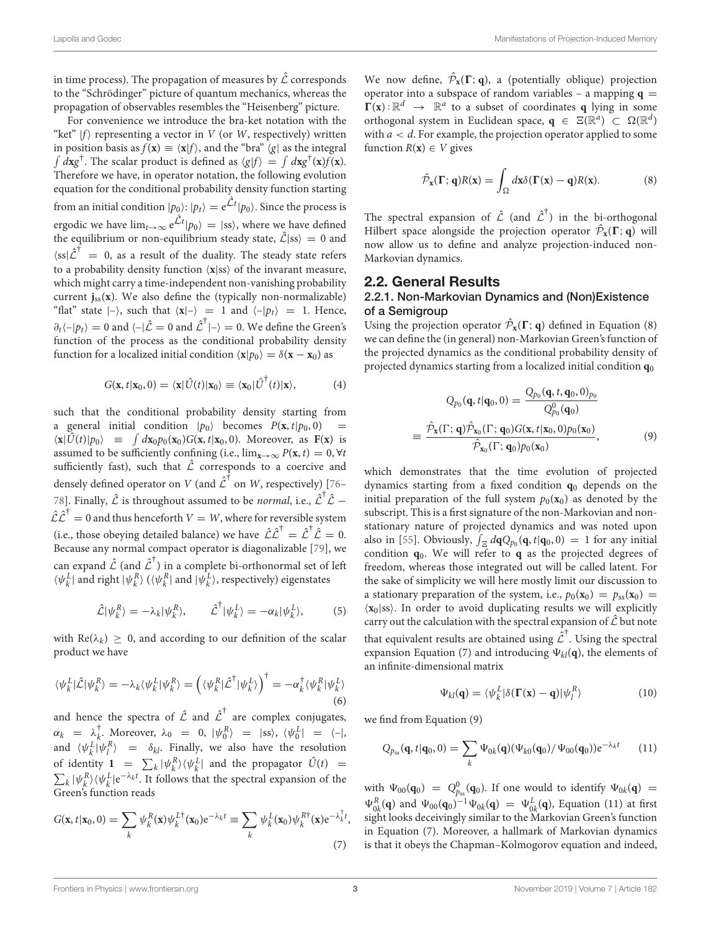in time process). The propagation of measures by  $\hat{\mathcal{L}}$  corresponds to the "Schrödinger" picture of quantum mechanics, whereas the propagation of observables resembles the "Heisenberg" picture.

For convenience we introduce the bra-ket notation with the "ket"  $|f\rangle$  representing a vector in V (or W, respectively) written in position basis as  $f(\mathbf{x}) \equiv \langle \mathbf{x} | f \rangle$ , and the "bra"  $\langle g |$  as the integral  $\int d\mathbf{x} g^{\dagger}$ . The scalar product is defined as  $\langle g|f \rangle = \int d\mathbf{x} g^{\dagger}(\mathbf{x}) f(\mathbf{x})$ . Therefore we have, in operator notation, the following evolution equation for the conditional probability density function starting from an initial condition  $|p_0\rangle$ :  $|p_t\rangle = \mathrm{e}^{\hat{\mathcal{L}}t} |p_0\rangle.$  Since the process is ergodic we have  $\lim_{t\to\infty} {\rm e}^{\hat{\mathcal{L}}t} |p_0\rangle \,=\,$  |ss), where we have defined the equilibrium or non-equilibrium steady state,  $\hat{\mathcal{L}}$ |ss $\rangle = 0$  and  $\langle ss|\hat{\mathcal{L}}^{\dagger} = 0$ , as a result of the duality. The steady state refers to a probability density function  $\langle x|ss \rangle$  of the invarant measure, which might carry a time-independent non-vanishing probability current  $\mathbf{j}_{ss}(\mathbf{x})$ . We also define the (typically non-normalizable) "flat" state  $|-\rangle$ , such that  $\langle x|-\rangle = 1$  and  $\langle -|p_t\rangle = 1$ . Hence,  $\partial_t \langle -|p_t\rangle = 0$  and  $\langle -|\hat{\mathcal{L}}=0$  and  $\hat{\mathcal{L}}^{\dagger}|\text{--}\rangle = 0$ . We define the Green's function of the process as the conditional probability density function for a localized initial condition  $\langle \mathbf{x} | p_0 \rangle = \delta(\mathbf{x} - \mathbf{x}_0)$  as

$$
G(\mathbf{x},t|\mathbf{x}_0,0)=\langle \mathbf{x}|\hat{U}(t)|\mathbf{x}_0\rangle \equiv \langle \mathbf{x}_0|\hat{U}^{\dagger}(t)|\mathbf{x}\rangle, \qquad (4)
$$

such that the conditional probability density starting from a general initial condition  $|p_0\rangle$  becomes  $P(\mathbf{x}, t|p_0, 0)$  =  $\langle \mathbf{x} | \hat{U}(t) | p_0 \rangle$  =  $\int dx_0 p_0(\mathbf{x}_0) G(\mathbf{x}, t | \mathbf{x}_0, 0)$ . Moreover, as **F**(**x**) is assumed to be sufficiently confining (i.e.,  $\lim_{x\to\infty} P(x, t) = 0$ ,  $\forall t$ sufficiently fast), such that  $\hat{\mathcal{L}}$  corresponds to a coercive and densely defined operator on  $V$  (and  $\mathcal{\hat{L}}^{\dagger}$  on  $W$ , respectively) [\[76–](#page-15-6) [78\]](#page-15-7). Finally,  $\hat{\mathcal{L}}$  is throughout assumed to be *normal*, i.e.,  $\hat{\mathcal{L}}^{\dagger} \hat{\mathcal{L}}$  –  $\hat{\mathcal{L}} \hat{\mathcal{L}}^{\dagger} = 0$  and thus henceforth  $V = W$ , where for reversible system (i.e., those obeying detailed balance) we have  $\hat{\mathcal{L}} \hat{\mathcal{L}}^{\dagger} = \hat{\mathcal{L}}^{\dagger} \hat{\mathcal{L}} = 0$ . Because any normal compact operator is diagonalizable [\[79\]](#page-15-8), we can expand  $\mathcal{\hat{L}}$  (and  $\mathcal{\hat{L}}^{\dagger}$ ) in a complete bi-orthonormal set of left  $\langle \psi_k^L |$  and right  $|\psi_k^R \rangle$  ( $\langle \psi_k^R |$  and  $|\psi_k^L \rangle$ , respectively) eigenstates

$$
\hat{\mathcal{L}}|\psi_k^R\rangle = -\lambda_k|\psi_k^R\rangle, \qquad \hat{\mathcal{L}}^\dagger|\psi_k^L\rangle = -\alpha_k|\psi_k^L\rangle,\tag{5}
$$

with  $\text{Re}(\lambda_k) \geq 0$ , and according to our definition of the scalar product we have

$$
\langle \psi_k^L | \hat{\mathcal{L}} | \psi_k^R \rangle = -\lambda_k \langle \psi_k^L | \psi_k^R \rangle = \left( \langle \psi_k^R | \hat{\mathcal{L}}^\dagger | \psi_k^L \rangle \right)^\dagger = -\alpha_k^\dagger \langle \psi_k^R | \psi_k^L \rangle \tag{6}
$$

and hence the spectra of  $\hat{\mathcal{L}}$  and  $\hat{\mathcal{L}}^{\dagger}$  are complex conjugates,  $\alpha_k$  =  $\lambda_k^{\dagger}$  $\bar{k}$ . Moreover,  $\lambda_0 = 0$ ,  $|\psi_0^R\rangle = |ss\rangle$ ,  $\langle \psi_0^L| = \langle -|,$ and  $\langle \psi_k^L | \psi_l^R \rangle$  =  $\delta_{kl}$ . Finally, we also have the resolution of identity  $1 = \sum_k |\psi_k^R\rangle \langle \psi_k^L|$  and the propagator  $\hat{U}(t)$  =  $\sum_{k} |\psi_{k}^{R}\rangle \langle \psi_{k}^{L}|e^{-\lambda_{k}t}$ . It follows that the spectral expansion of the Green's function reads

$$
G(\mathbf{x}, t | \mathbf{x}_0, 0) = \sum_k \psi_k^R(\mathbf{x}) \psi_k^{L\dagger}(\mathbf{x}_0) e^{-\lambda_k t} \equiv \sum_k \psi_k^L(\mathbf{x}_0) \psi_k^{R\dagger}(\mathbf{x}) e^{-\lambda_k^{\dagger} t},
$$
\n(7)

We now define,  $\hat{\mathcal{P}}_{\mathbf{x}}(\Gamma; \mathbf{q})$ , a (potentially oblique) projection operator into a subspace of random variables – a mapping  $q =$  $\Gamma(\mathbf{x}) : \mathbb{R}^d \rightarrow \mathbb{R}^a$  to a subset of coordinates **q** lying in some orthogonal system in Euclidean space,  $\mathbf{q} \in \Xi(\mathbb{R}^d) \subset \Omega(\mathbb{R}^d)$ with  $a < d$ . For example, the projection operator applied to some function  $R(x) \in V$  gives

$$
\hat{\mathcal{P}}_{\mathbf{x}}(\Gamma; \mathbf{q})R(\mathbf{x}) = \int_{\Omega} d\mathbf{x} \delta(\Gamma(\mathbf{x}) - \mathbf{q})R(\mathbf{x}). \tag{8}
$$

The spectral expansion of  $\hat{\mathcal{L}}$  (and  $\hat{\mathcal{L}}^{\dagger}$ ) in the bi-orthogonal Hilbert space alongside the projection operator  $\hat{\mathcal{P}}_{\mathbf{x}}(\Gamma; \mathbf{q})$  will now allow us to define and analyze projection-induced non-Markovian dynamics.

## 2.2. General Results

### 2.2.1. Non-Markovian Dynamics and (Non)Existence of a Semigroup

Using the projection operator  $\hat{\mathcal{P}}_{\mathbf{x}}(\Gamma; \mathbf{q})$  defined in Equation (8) we can define the (in general) non-Markovian Green's function of the projected dynamics as the conditional probability density of projected dynamics starting from a localized initial condition **q**<sup>0</sup>

$$
Q_{p_0}(\mathbf{q}, t | \mathbf{q}_0, 0) = \frac{Q_{p_0}(\mathbf{q}, t, \mathbf{q}_0, 0)_{p_0}}{Q_{p_0}^0(\mathbf{q}_0)}
$$

$$
\equiv \frac{\hat{\mathcal{P}}_{\mathbf{x}}(\Gamma; \mathbf{q}) \hat{\mathcal{P}}_{\mathbf{x}_0}(\Gamma; \mathbf{q}_0) G(\mathbf{x}, t | \mathbf{x}_0, 0) p_0(\mathbf{x}_0)}{\hat{\mathcal{P}}_{\mathbf{x}_0}(\Gamma; \mathbf{q}_0) p_0(\mathbf{x}_0)},
$$
(9)

which demonstrates that the time evolution of projected dynamics starting from a fixed condition **q**<sup>0</sup> depends on the initial preparation of the full system  $p_0(\mathbf{x}_0)$  as denoted by the subscript. This is a first signature of the non-Markovian and nonstationary nature of projected dynamics and was noted upon also in [\[55\]](#page-14-14). Obviously,  $\int_{\Xi} d\mathbf{q} Q_{p_0}(\mathbf{q}, t | \mathbf{q}_0, 0) = 1$  for any initial condition **q**0. We will refer to **q** as the projected degrees of freedom, whereas those integrated out will be called latent. For the sake of simplicity we will here mostly limit our discussion to a stationary preparation of the system, i.e.,  $p_0(\mathbf{x}_0) = p_{ss}(\mathbf{x}_0)$  $\langle x_0 | ss \rangle$ . In order to avoid duplicating results we will explicitly carry out the calculation with the spectral expansion of  $\hat{\mathcal{L}}$  but note that equivalent results are obtained using  $\mathcal{\hat{L}}^{\dagger}$ . Using the spectral expansion Equation (7) and introducing  $\Psi_{kl}(\mathbf{q})$ , the elements of an infinite-dimensional matrix

$$
\Psi_{kl}(\mathbf{q}) = \langle \psi_k^L | \delta(\mathbf{\Gamma}(\mathbf{x}) - \mathbf{q}) | \psi_l^R \rangle \tag{10}
$$

we find from Equation (9)

$$
Q_{p_{ss}}(\mathbf{q},t|\mathbf{q}_0,0) = \sum_{k} \Psi_{0k}(\mathbf{q}) (\Psi_{k0}(\mathbf{q}_0)) \Psi_{00}(\mathbf{q}_0)) e^{-\lambda_k t}
$$
 (11)

with  $\Psi_{00}(\mathbf{q}_0) = Q_{p_{ss}}^0(\mathbf{q}_0)$ . If one would to identify  $\Psi_{0k}(\mathbf{q}) =$  $\Psi_{0k}^R(\mathbf{q})$  and  $\Psi_{00}(\mathbf{q}_0)^{-1}\Psi_{0k}(\mathbf{q}) = \Psi_{0k}^L(\mathbf{q})$ , Equation (11) at first sight looks deceivingly similar to the Markovian Green's function in Equation (7). Moreover, a hallmark of Markovian dynamics is that it obeys the Chapman–Kolmogorov equation and indeed,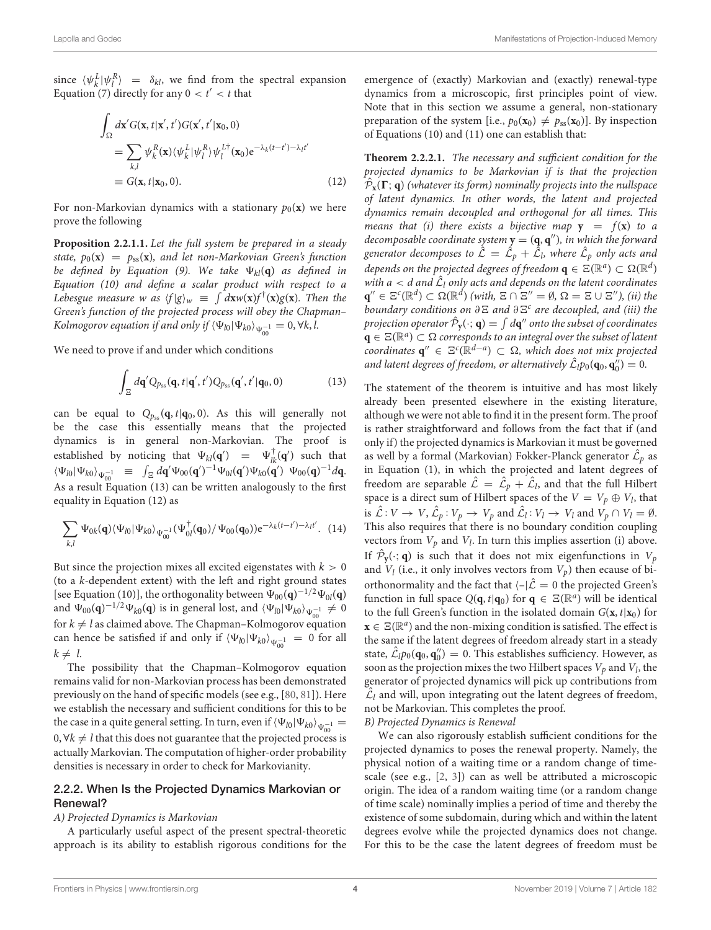since  $\langle \psi_k^L | \psi_l^R \rangle = \delta_{kl}$ , we find from the spectral expansion Equation (7) directly for any  $0 < t' < t$  that

$$
\int_{\Omega} d\mathbf{x}' G(\mathbf{x}, t | \mathbf{x}', t') G(\mathbf{x}', t' | \mathbf{x}_0, 0)
$$
\n
$$
= \sum_{k,l} \psi_k^R(\mathbf{x}) \langle \psi_k^L | \psi_l^R \rangle \psi_l^{L\dagger}(\mathbf{x}_0) e^{-\lambda_k (t - t') - \lambda_l t'}
$$
\n
$$
\equiv G(\mathbf{x}, t | \mathbf{x}_0, 0).
$$
\n(12)

For non-Markovian dynamics with a stationary  $p_0(\mathbf{x})$  we here prove the following

**Proposition 2.2.1.1.** Let the full system be prepared in a steady state,  $p_0(\mathbf{x}) = p_{ss}(\mathbf{x})$ , and let non-Markovian Green's function be defined by Equation (9). We take  $\Psi_{kl}(\mathbf{q})$  as defined in Equation (10) and define a scalar product with respect to a Lebesgue measure w as  $\langle f | g \rangle_w \equiv \int dx w(\mathbf{x}) f^{\dagger}(\mathbf{x}) g(\mathbf{x})$ . Then the Green's function of the projected process will obey the Chapman– Kolmogorov equation if and only if  $\braket{\Psi_{l0}|\Psi_{k0}}_{\Psi_{00}^{-1}}=0, \forall k,l$ .

We need to prove if and under which conditions

$$
\int_{\Xi} d\mathbf{q}' Q_{p_{ss}}(\mathbf{q},t|\mathbf{q}',t') Q_{p_{ss}}(\mathbf{q}',t'|\mathbf{q}_0,0) \tag{13}
$$

can be equal to  $Q_{p_{ss}}(\mathbf{q}, t | \mathbf{q}_0, 0)$ . As this will generally not be the case this essentially means that the projected dynamics is in general non-Markovian. The proof is established by noticing that  $\Psi_{kl}(\mathbf{q}') = \Psi_{lk}^{\dagger}(\mathbf{q}')$  such that  $\langle\Psi_{l0}|\Psi_{k0}\rangle_{\Psi_{00}^{-1}} \equiv \int_{\Xi} d\mathbf{q}' \Psi_{00}(\mathbf{q}')^{-1}\Psi_{0l}(\mathbf{q}')\Psi_{k0}(\mathbf{q}') \Psi_{00}(\mathbf{q})^{-1}d\mathbf{q}.$ As a result Equation (13) can be written analogously to the first equality in Equation (12) as

$$
\sum_{k,l} \Psi_{0k}(\mathbf{q}) \langle \Psi_{l0} | \Psi_{k0} \rangle_{\Psi_{00}^{-1}} (\Psi_{0l}^{\dagger}(\mathbf{q}_0) / \Psi_{00}(\mathbf{q}_0)) e^{-\lambda_k (t-t') - \lambda_l t'}.
$$
 (14)

But since the projection mixes all excited eigenstates with  $k > 0$ (to a k-dependent extent) with the left and right ground states [see Equation (10)], the orthogonality between  $\Psi_{00}(\mathbf{q})^{-1/2}\Psi_{0l}(\mathbf{q})$ and  $\Psi_{00}(\mathbf{q})^{-1/2}\Psi_{k0}(\mathbf{q})$  is in general lost, and  $\langle\Psi_{l0}|\Psi_{k0}\rangle_{\Psi_{00}^{-1}} \neq 0$ for  $k \neq l$  as claimed above. The Chapman–Kolmogorov equation can hence be satisfied if and only if  $\langle \Psi_{l0} | \Psi_{k0} \rangle_{\Psi_{00}^{-1}} = 0$  for all  $k \neq l$ .

The possibility that the Chapman–Kolmogorov equation remains valid for non-Markovian process has been demonstrated previously on the hand of specific models (see e.g., [\[80,](#page-15-9) [81\]](#page-15-10)). Here we establish the necessary and sufficient conditions for this to be the case in a quite general setting. In turn, even if  $\braket{\Psi_{l0}|\Psi_{k0}}_{\Psi_{00}^{-1}} =$ 0,  $\forall k \neq l$  that this does not guarantee that the projected process is actually Markovian. The computation of higher-order probability densities is necessary in order to check for Markovianity.

#### 2.2.2. When Is the Projected Dynamics Markovian or Renewal?

#### A) Projected Dynamics is Markovian

A particularly useful aspect of the present spectral-theoretic approach is its ability to establish rigorous conditions for the emergence of (exactly) Markovian and (exactly) renewal-type dynamics from a microscopic, first principles point of view. Note that in this section we assume a general, non-stationary preparation of the system [i.e.,  $p_0(\mathbf{x}_0) \neq p_{ss}(\mathbf{x}_0)$ ]. By inspection of Equations (10) and (11) one can establish that:

**Theorem 2.2.2.1.** The necessary and sufficient condition for the projected dynamics to be Markovian if is that the projection  $\hat{\mathcal{P}}_\mathbf{x}(\boldsymbol{\Gamma}; {\bf q})$  (whatever its form) nominally projects into the nullspace of latent dynamics. In other words, the latent and projected dynamics remain decoupled and orthogonal for all times. This means that (i) there exists a bijective map  $y = f(x)$  to a decomposable coordinate system  $y = (q, q'')$ , in which the forward generator decomposes to  $\hat{\mathcal{L}}\,=\,\hat{\mathcal{L}}_p\,+\,\hat{\mathcal{L}}_l$ , where  $\hat{\mathcal{L}}_p$  only acts and depends on the projected degrees of freedom  $\mathbf{q} \in \Xi(\mathbb{R}^d) \subset \Omega(\mathbb{R}^d)$ with a  $< d$  and  $\hat{\mathcal{L}}_l$  only acts and depends on the latent coordinates  $\mathbf{q}'' \in \Xi^c(\mathbb{R}^d) \subset \Omega(\mathbb{R}^d)$  (with,  $\Xi \cap \Xi'' = \emptyset$ ,  $\Omega = \Xi \cup \Xi''$ ), (ii) the boundary conditions on  $\partial \Xi$  and  $\partial \Xi^c$  are decoupled, and (iii) the projection operator  $\hat{\mathcal{P}}_{\mathbf{y}}(\cdot; \, \mathbf{q}) = \int d\mathbf{q}^{\prime\prime}$  onto the subset of coordinates  $\mathbf{q} \in \Xi(\mathbb{R}^a) \subset \Omega$  corresponds to an integral over the subset of latent coordinates  ${\bf q}''$  ∈  $\Xi^c(\mathbb{R}^{d-a})$  ⊂ Ω, which does not mix projected and latent degrees of freedom, or alternatively  $\hat{\mathcal{L}}_l p_0(\mathbf{q}_0, \mathbf{q}_0'') = 0$ .

The statement of the theorem is intuitive and has most likely already been presented elsewhere in the existing literature, although we were not able to find it in the present form. The proof is rather straightforward and follows from the fact that if (and only if) the projected dynamics is Markovian it must be governed as well by a formal (Markovian) Fokker-Planck generator  $\hat{\mathcal{L}}_p$  as in Equation (1), in which the projected and latent degrees of freedom are separable  $\hat{\mathcal{L}} = \hat{\mathcal{L}}_p + \hat{\mathcal{L}}_l$ , and that the full Hilbert space is a direct sum of Hilbert spaces of the  $V = V_p \oplus V_l$ , that is  $\hat{\mathcal{L}}: V \to V$ ,  $\hat{\mathcal{L}}_p: V_p \to V_p$  and  $\hat{\mathcal{L}}_l: V_l \to V_l$  and  $V_p \cap V_l = \emptyset$ . This also requires that there is no boundary condition coupling vectors from  $V_p$  and  $V_l$ . In turn this implies assertion (i) above. If  $\hat{\mathcal{P}}_{\mathbf{y}}(\cdot; \mathbf{q})$  is such that it does not mix eigenfunctions in  $V_p$ and  $V_l$  (i.e., it only involves vectors from  $V_p$ ) then ecause of biorthonormality and the fact that  $\langle -|\hat{L} = 0 \rangle$  the projected Green's function in full space  $Q(\mathbf{q}, t | \mathbf{q}_0)$  for  $\mathbf{q} \in \Xi(\mathbb{R}^d)$  will be identical to the full Green's function in the isolated domain  $G(\mathbf{x}, t | \mathbf{x}_0)$  for  $\mathbf{x} \in \Xi(\mathbb{R}^d)$  and the non-mixing condition is satisfied. The effect is the same if the latent degrees of freedom already start in a steady state,  $\hat{\mathcal{L}}_l p_0(\mathbf{q}_0, \mathbf{q}_0'') = 0$ . This establishes sufficiency. However, as soon as the projection mixes the two Hilbert spaces  $V_p$  and  $V_l$ , the generator of projected dynamics will pick up contributions from  $\hat{\mathcal{L}}_l$  and will, upon integrating out the latent degrees of freedom, not be Markovian. This completes the proof.

#### B) Projected Dynamics is Renewal

We can also rigorously establish sufficient conditions for the projected dynamics to poses the renewal property. Namely, the physical notion of a waiting time or a random change of timescale (see e.g., [\[2,](#page-13-8) [3\]](#page-13-4)) can as well be attributed a microscopic origin. The idea of a random waiting time (or a random change of time scale) nominally implies a period of time and thereby the existence of some subdomain, during which and within the latent degrees evolve while the projected dynamics does not change. For this to be the case the latent degrees of freedom must be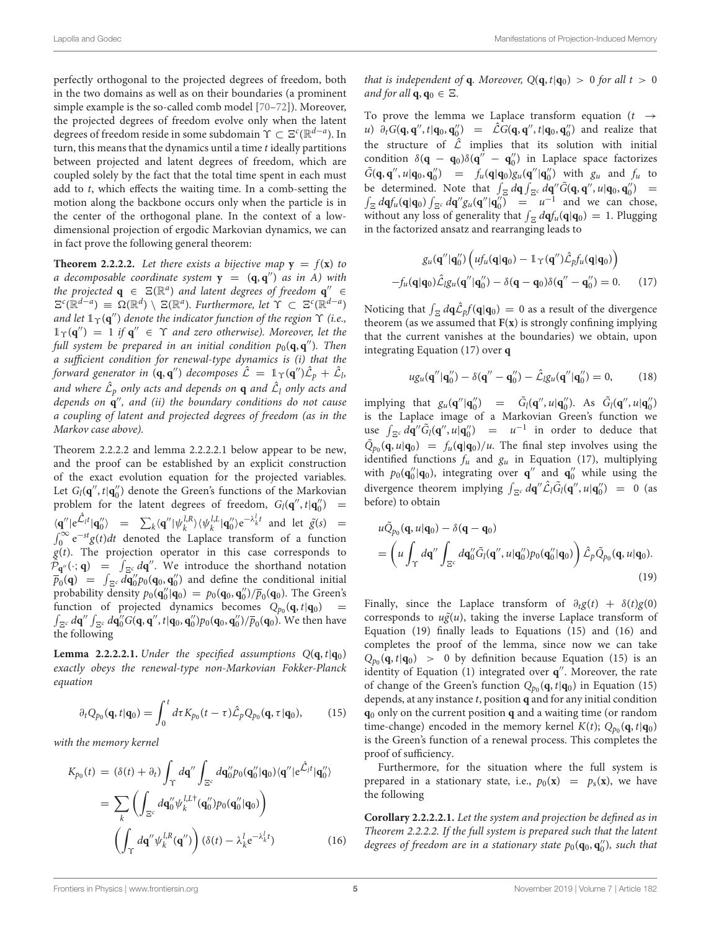perfectly orthogonal to the projected degrees of freedom, both in the two domains as well as on their boundaries (a prominent simple example is the so-called comb model [\[70](#page-15-1)[–72\]](#page-15-2)). Moreover, the projected degrees of freedom evolve only when the latent degrees of freedom reside in some subdomain  $\Upsilon \subset \Xi^c(\mathbb R^{d-a}).$  In turn, this means that the dynamics until a time  $t$  ideally partitions between projected and latent degrees of freedom, which are coupled solely by the fact that the total time spent in each must add to t, which effects the waiting time. In a comb-setting the motion along the backbone occurs only when the particle is in the center of the orthogonal plane. In the context of a lowdimensional projection of ergodic Markovian dynamics, we can in fact prove the following general theorem:

**Theorem 2.2.2.2.** Let there exists a bijective map  $y = f(x)$  to a decomposable coordinate system  $y = (q, q'')$  as in A) with the projected  $\mathbf{q} \in \mathbb{E}(\mathbb{R}^d)$  and latent degrees of freedom  $\mathbf{q}'' \in$  $\mathbb{E}^c(\mathbb{R}^{d-a}) \equiv \Omega(\mathbb{R}^d) \setminus \mathbb{E}(\mathbb{R}^a)$ . Furthermore, let  $\Upsilon \subset \mathbb{E}^c(\mathbb{R}^{d-a})$ and let  $1_\Upsilon({\mathbf q}'')$  denote the indicator function of the region  $\Upsilon$  (i.e.,  $\mathbb{1}_{\Upsilon}(\mathbf{q}'') = 1$  if  $\mathbf{q}'' \in \Upsilon$  and zero otherwise). Moreover, let the full system be prepared in an initial condition  $p_0(\mathbf{q},\mathbf{q}'')$ . Then a sufficient condition for renewal-type dynamics is (i) that the forward generator in  $(\mathbf{q}, \mathbf{q}'')$  decomposes  $\hat{\mathcal{L}} = \mathbb{1}_{\Upsilon}(\mathbf{q}'')\hat{\mathcal{L}}_p + \hat{\mathcal{L}}_b$ and where  $\hat{\mathcal{L}}_p$  only acts and depends on  $\mathbf q$  and  $\hat{\mathcal{L}}_l$  only acts and depends on **q** ′′, and (ii) the boundary conditions do not cause a coupling of latent and projected degrees of freedom (as in the Markov case above).

Theorem 2.2.2.2 and lemma 2.2.2.2.1 below appear to be new, and the proof can be established by an explicit construction of the exact evolution equation for the projected variables. Let  $G_l(\mathbf{q}'', t | \mathbf{q}'_0)$  denote the Green's functions of the Markovian problem for the latent degrees of freedom,  $G_l(\mathbf{q}'', t | \mathbf{q}''_0)$  =  $\langle \mathbf{q}'' | e^{\hat{\mathcal{L}}_l t} | \mathbf{q}''_0 \rangle = \sum_k \langle \mathbf{q}'' | \psi_k^{l,R} \rangle \langle \psi_k^{l,L} | \mathbf{q}''_0 \rangle e^{-\lambda_k^l t}$  and let  $\tilde{g}(s) =$  $\int_0^\infty e^{-st} g(t) dt$  denoted the Laplace transform of a function  $g(t)$ . The projection operator in this case corresponds to  $\hat{\mathcal{P}}_{\mathbf{q}''}(\cdot; \mathbf{q}) = \int_{\Xi^c} d\mathbf{q}''$ . We introduce the shorthand notation  $\overline{p}_0(\mathbf{q}) = \int_{\Xi^c} d\overline{\mathbf{q}}''_0 p_0(\mathbf{q}_0, \mathbf{q}''_0)$  and define the conditional initial probability density  $p_0(\mathbf{q}_0'|\mathbf{q}_0) = p_0(\mathbf{q}_0, \mathbf{q}_0'') / \overline{p}_0(\mathbf{q}_0)$ . The Green's function of projected dynamics becomes  $Q_{p_0}(\mathbf{q}, t | \mathbf{q}_0)$  =  $\int_{\Xi^c}d{\bf q}''\int_{\Xi^c}d{\bf q}_0''G({\bf q},{\bf q}'',t|{\bf q}_0,{\bf q}_0'')p_0({\bf q}_0,{\bf q}_0'')/\overline{p}_0({\bf q}_0)}.$  We then have the following

**Lemma 2.2.2.2.1.** Under the specified assumptions  $Q(\mathbf{q}, t | \mathbf{q}_0)$ exactly obeys the renewal-type non-Markovian Fokker-Planck equation

$$
\partial_t Q_{p_0}(\mathbf{q}, t | \mathbf{q}_0) = \int_0^t d\tau K_{p_0}(t-\tau) \hat{\mathcal{L}}_p Q_{p_0}(\mathbf{q}, \tau | \mathbf{q}_0), \qquad (15)
$$

with the memory kernel

$$
K_{p_0}(t) = (\delta(t) + \partial_t) \int_{\Upsilon} d\mathbf{q}'' \int_{\Xi^c} d\mathbf{q}_0'' p_0(\mathbf{q}_0''|\mathbf{q}_0) \langle \mathbf{q}''| e^{\hat{\mathcal{L}}_l t} | \mathbf{q}_0'' \rangle
$$
  
\n
$$
= \sum_k \left( \int_{\Xi^c} d\mathbf{q}_0'' \psi_k^{l,L^{\dagger}}(\mathbf{q}_0'') p_0(\mathbf{q}_0'|\mathbf{q}_0) \right)
$$
  
\n
$$
\left( \int_{\Upsilon} d\mathbf{q}'' \psi_k^{l,R}(\mathbf{q}'') \right) (\delta(t) - \lambda_k^l e^{-\lambda_k^l t})
$$
(16)

that is independent of **q**. Moreover,  $Q(\mathbf{q}, t | \mathbf{q}_0) > 0$  for all  $t > 0$ and for all  $\mathbf{q}, \mathbf{q}_0 \in \Xi$ .

To prove the lemma we Laplace transform equation ( $t \rightarrow$ u)  $\partial_t G(\mathbf{q}, \mathbf{q}'', t | \mathbf{q}_0, \mathbf{q}_0'') = \hat{\mathcal{L}} G(\mathbf{q}, \mathbf{q}'', t | \mathbf{q}_0, \mathbf{q}_0'')$  and realize that the structure of  $\hat{\mathcal{L}}$  implies that its solution with initial condition  $\delta(\mathbf{q} - \mathbf{q}_0)\delta(\mathbf{q}'' - \mathbf{q}''_0)$  in Laplace space factorizes  $\tilde{G}(\mathbf{q}, \mathbf{q}'', u | \mathbf{q}_0, \mathbf{q}_0'') = f_u(\mathbf{q} | \mathbf{q}_0) g_u(\mathbf{q}'' | \mathbf{q}_0'')$  with  $g_u$  and  $f_u$  to be determined. Note that  $\int_{\Xi} d\mathbf{q} \int_{\Xi} d\mathbf{q}' \tilde{G}(\mathbf{q}, \mathbf{q}'', u | \mathbf{q}_0, \mathbf{q}_0'') =$  $\int_{\Xi} d\mathbf{q} f_u(\mathbf{q}|\mathbf{q}_0) \int_{\Xi} d\mathbf{q}'' g_u(\mathbf{q}''|\mathbf{q}_0'') = u^{-1}$  and we can chose, without any loss of generality that  $\int_{\Xi} d\mathbf{q} f_u(\mathbf{q}|\mathbf{q}_0) = 1$ . Plugging in the factorized ansatz and rearranging leads to

$$
g_u(\mathbf{q}''|\mathbf{q}_0'')\left(uf_u(\mathbf{q}|\mathbf{q}_0) - \mathbb{1}_{\Upsilon}(\mathbf{q}'')\hat{\mathcal{L}}_p f_u(\mathbf{q}|\mathbf{q}_0)\right)
$$

$$
-f_u(\mathbf{q}|\mathbf{q}_0)\hat{\mathcal{L}}_l g_u(\mathbf{q}''|\mathbf{q}_0'') - \delta(\mathbf{q} - \mathbf{q}_0)\delta(\mathbf{q}'' - \mathbf{q}_0'') = 0. \qquad (17)
$$

Noticing that  $\int_{\Xi} d\mathbf{q} \hat{\mathcal{L}}_p f(\mathbf{q}|\mathbf{q}_0) = 0$  as a result of the divergence theorem (as we assumed that  $F(x)$  is strongly confining implying that the current vanishes at the boundaries) we obtain, upon integrating Equation (17) over **q**

$$
ug_u(\mathbf{q}''|\mathbf{q}_0'') - \delta(\mathbf{q}'' - \mathbf{q}_0'') - \hat{\mathcal{L}}_l g_u(\mathbf{q}''|\mathbf{q}_0'') = 0, \qquad (18)
$$

implying that  $g_u(\mathbf{q}''|\mathbf{q}_0'') = \tilde{G}_l(\mathbf{q}'', u|\mathbf{q}_0'')$ . As  $\tilde{G}_l(\mathbf{q}'', u|\mathbf{q}_0'')$ is the Laplace image of a Markovian Green's function we use  $\int_{\Xi^c} d\mathbf{q}'' \tilde{G}_l(\mathbf{q}'', u | \mathbf{q}''_0) = u^{-1}$  in order to deduce that  $\tilde{Q}_{p_0}(\mathbf{q}, u | \mathbf{q}_0) = f_u(\mathbf{q} | \mathbf{q}_0) / u$ . The final step involves using the identified functions  $f_u$  and  $g_u$  in Equation (17), multiplying with  $p_0(\mathbf{q}_0'|\mathbf{q}_0)$ , integrating over  $\mathbf{q}''$  and  $\mathbf{q}_0''$  while using the divergence theorem implying  $\int_{\Xi^c} d\mathbf{q}'' \hat{\mathcal{L}}_l \tilde{G}_l(\mathbf{q}'', u | \mathbf{q}''_0) = 0$  (as before) to obtain

$$
u\tilde{Q}_{p_0}(\mathbf{q}, u|\mathbf{q}_0) - \delta(\mathbf{q} - \mathbf{q}_0)
$$
  
= 
$$
\left(u \int_{\Upsilon} d\mathbf{q}'' \int_{\Xi^c} d\mathbf{q}_0'' \tilde{G}_l(\mathbf{q}'', u|\mathbf{q}_0'') p_0(\mathbf{q}_0''|\mathbf{q}_0) \right) \hat{\mathcal{L}}_p \tilde{Q}_{p_0}(\mathbf{q}, u|\mathbf{q}_0).
$$
 (19)

Finally, since the Laplace transform of  $\partial_t g(t) + \delta(t)g(0)$ corresponds to  $u\tilde{g}(u)$ , taking the inverse Laplace transform of Equation (19) finally leads to Equations (15) and (16) and completes the proof of the lemma, since now we can take  $Q_{p_0}(\mathbf{q}, t | \mathbf{q}_0) > 0$  by definition because Equation (15) is an identity of Equation (1) integrated over **q** ′′. Moreover, the rate of change of the Green's function  $Q_{p_0}(\mathbf{q}, t | \mathbf{q}_0)$  in Equation (15) depends, at any instance t, position **q** and for any initial condition **q**<sup>0</sup> only on the current position **q** and a waiting time (or random time-change) encoded in the memory kernel  $K(t)$ ;  $Q_{p_0}(\mathbf{q}, t | \mathbf{q}_0)$ is the Green's function of a renewal process. This completes the proof of sufficiency.

Furthermore, for the situation where the full system is prepared in a stationary state, i.e.,  $p_0(\mathbf{x}) = p_s(\mathbf{x})$ , we have the following

**Corollary 2.2.2.2.1.** Let the system and projection be defined as in Theorem 2.2.2.2. If the full system is prepared such that the latent degrees of freedom are in a stationary state  $p_0(\mathbf{q}_0, \mathbf{q}'_0)$ , such that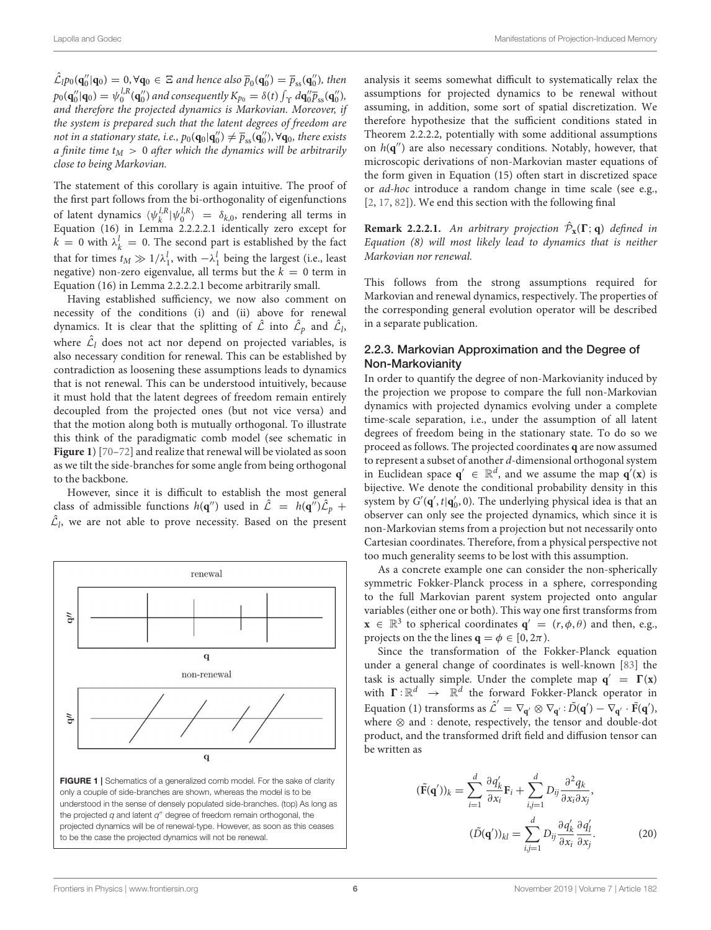$\hat{\mathcal{L}}_l p_0(\mathbf{q}''_0|\mathbf{q}_0) = 0, \forall \mathbf{q}_0 \in \Xi$  and hence also  $\overline{p}_0(\mathbf{q}''_0) = \overline{p}_{ss}(\mathbf{q}''_0)$ , then  $p_0(\mathbf{q}''_0|\mathbf{q}_0) = \psi_0^{l,R}(\mathbf{q}''_0)$  and consequently  $K_{p_0} = \delta(t) \int_{\Upsilon} d\mathbf{q}''_0 \overline{p}_{ss}(\mathbf{q}''_0)$ , and therefore the projected dynamics is Markovian. Moreover, if the system is prepared such that the latent degrees of freedom are not in a stationary state, i.e.,  $p_0(\mathbf{q}_0|\mathbf{q}_0'') \neq \overline{p}_{\text{ss}}(\mathbf{q}_0''), \forall \mathbf{q}_0$ , there exists a finite time  $t_M > 0$  after which the dynamics will be arbitrarily close to being Markovian.

The statement of this corollary is again intuitive. The proof of the first part follows from the bi-orthogonality of eigenfunctions of latent dynamics  $\langle \psi_k^{l,R} | \psi_0^{l,R} \rangle = \delta_{k,0}$ , rendering all terms in Equation (16) in Lemma 2.2.2.2.1 identically zero except for  $k = 0$  with  $\lambda_k^l = 0$ . The second part is established by the fact that for times  $t_M \gg 1/\lambda_1^l$ , with  $-\lambda_1^l$  being the largest (i.e., least negative) non-zero eigenvalue, all terms but the  $k = 0$  term in Equation (16) in Lemma 2.2.2.2.1 become arbitrarily small.

Having established sufficiency, we now also comment on necessity of the conditions (i) and (ii) above for renewal dynamics. It is clear that the splitting of  $\hat{\mathcal{L}}$  into  $\hat{\mathcal{L}}_p$  and  $\hat{\mathcal{L}}_l$ , where  $\hat{\mathcal{L}}_l$  does not act nor depend on projected variables, is also necessary condition for renewal. This can be established by contradiction as loosening these assumptions leads to dynamics that is not renewal. This can be understood intuitively, because it must hold that the latent degrees of freedom remain entirely decoupled from the projected ones (but not vice versa) and that the motion along both is mutually orthogonal. To illustrate this think of the paradigmatic comb model (see schematic in **[Figure 1](#page-5-0)**) [\[70–](#page-15-1)[72\]](#page-15-2) and realize that renewal will be violated as soon as we tilt the side-branches for some angle from being orthogonal to the backbone.

However, since it is difficult to establish the most general class of admissible functions  $h(\mathbf{q}'')$  used in  $\hat{\mathcal{L}} = h(\mathbf{q}'')\hat{\mathcal{L}}_p$  +  $\hat{\mathcal{L}}_l$ , we are not able to prove necessity. Based on the present

<span id="page-5-0"></span>

analysis it seems somewhat difficult to systematically relax the assumptions for projected dynamics to be renewal without assuming, in addition, some sort of spatial discretization. We therefore hypothesize that the sufficient conditions stated in Theorem 2.2.2.2, potentially with some additional assumptions on h(**q** ′′) are also necessary conditions. Notably, however, that microscopic derivations of non-Markovian master equations of the form given in Equation (15) often start in discretized space or ad-hoc introduce a random change in time scale (see e.g., [\[2,](#page-13-8) [17,](#page-13-5) [82\]](#page-15-11)). We end this section with the following final

**Remark 2.2.2.1.** An arbitrary projection  $\hat{\mathcal{P}}_{\mathbf{x}}(\Gamma; \mathbf{q})$  defined in Equation (8) will most likely lead to dynamics that is neither Markovian nor renewal.

This follows from the strong assumptions required for Markovian and renewal dynamics, respectively. The properties of the corresponding general evolution operator will be described in a separate publication.

### 2.2.3. Markovian Approximation and the Degree of Non-Markovianity

In order to quantify the degree of non-Markovianity induced by the projection we propose to compare the full non-Markovian dynamics with projected dynamics evolving under a complete time-scale separation, i.e., under the assumption of all latent degrees of freedom being in the stationary state. To do so we proceed as follows. The projected coordinates **q** are now assumed to represent a subset of another d-dimensional orthogonal system in Euclidean space  $q' \in \mathbb{R}^d$ , and we assume the map  $q'(x)$  is bijective. We denote the conditional probability density in this system by  $G'(\mathbf{q}', t | \mathbf{q}'_0, 0)$ . The underlying physical idea is that an observer can only see the projected dynamics, which since it is non-Markovian stems from a projection but not necessarily onto Cartesian coordinates. Therefore, from a physical perspective not too much generality seems to be lost with this assumption.

As a concrete example one can consider the non-spherically symmetric Fokker-Planck process in a sphere, corresponding to the full Markovian parent system projected onto angular variables (either one or both). This way one first transforms from  $\mathbf{x} \in \mathbb{R}^3$  to spherical coordinates  $\mathbf{q}' = (r, \phi, \theta)$  and then, e.g., projects on the the lines  $\mathbf{q} = \phi \in [0, 2\pi)$ .

Since the transformation of the Fokker-Planck equation under a general change of coordinates is well-known [\[83\]](#page-15-12) the task is actually simple. Under the complete map  $q' = \Gamma(x)$ with  $\Gamma : \mathbb{R}^d \to \mathbb{R}^d$  the forward Fokker-Planck operator in Equation (1) transforms as  $\hat{\mathcal{L}}' = \nabla_{\mathbf{q}'} \otimes \nabla_{\mathbf{q}'} : \tilde{D}(\mathbf{q}') - \nabla_{\mathbf{q}'} \cdot \tilde{F}(\mathbf{q}'),$ where  $\otimes$  and : denote, respectively, the tensor and double-dot product, and the transformed drift field and diffusion tensor can be written as

$$
(\tilde{\mathbf{F}}(\mathbf{q}'))_k = \sum_{i=1}^d \frac{\partial q'_k}{\partial x_i} \mathbf{F}_i + \sum_{i,j=1}^d D_{ij} \frac{\partial^2 q_k}{\partial x_i \partial x_j},
$$

$$
(\tilde{D}(\mathbf{q}'))_{kl} = \sum_{i,j=1}^d D_{ij} \frac{\partial q'_k}{\partial x_i} \frac{\partial q'_l}{\partial x_j}.
$$
(20)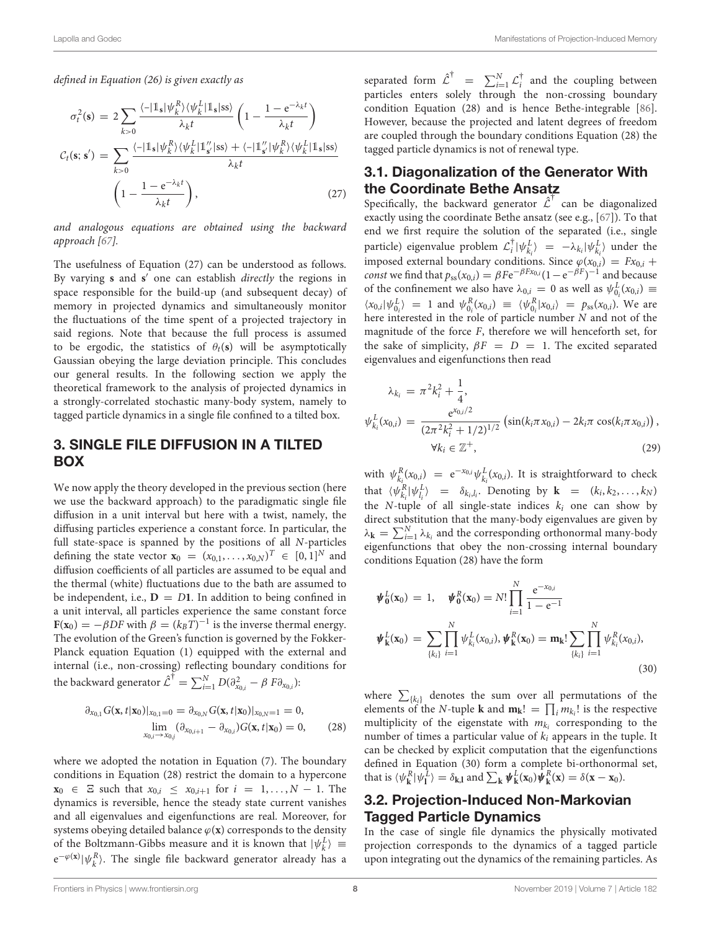defined in Equation (26) is given exactly as

$$
\sigma_t^2(\mathbf{s}) = 2 \sum_{k>0} \frac{\langle -|\mathbb{1}_{\mathbf{s}}| \psi_k^R \rangle \langle \psi_k^L |\mathbb{1}_{\mathbf{s}}| \text{ss} \rangle}{\lambda_k t} \left( 1 - \frac{1 - e^{-\lambda_k t}}{\lambda_k t} \right)
$$

$$
C_t(\mathbf{s}; \mathbf{s}') = \sum_{k>0} \frac{\langle -|\mathbb{1}_{\mathbf{s}}| \psi_k^R \rangle \langle \psi_k^L |\mathbb{1}_{\mathbf{s}'}^L | \text{ss} \rangle + \langle -|\mathbb{1}_{\mathbf{s}'}^U | \psi_k^R \rangle \langle \psi_k^L |\mathbb{1}_{\mathbf{s}}| \text{ss} \rangle}{\lambda_k t}
$$

$$
\left( 1 - \frac{1 - e^{-\lambda_k t}}{\lambda_k t} \right), \tag{27}
$$

and analogous equations are obtained using the backward approach [\[67\]](#page-14-13).

The usefulness of Equation (27) can be understood as follows. By varying **s** and **s** ′ one can establish directly the regions in space responsible for the build-up (and subsequent decay) of memory in projected dynamics and simultaneously monitor the fluctuations of the time spent of a projected trajectory in said regions. Note that because the full process is assumed to be ergodic, the statistics of  $\theta_t(s)$  will be asymptotically Gaussian obeying the large deviation principle. This concludes our general results. In the following section we apply the theoretical framework to the analysis of projected dynamics in a strongly-correlated stochastic many-body system, namely to tagged particle dynamics in a single file confined to a tilted box.

## 3. SINGLE FILE DIFFUSION IN A TILTED BOX

We now apply the theory developed in the previous section (here we use the backward approach) to the paradigmatic single file diffusion in a unit interval but here with a twist, namely, the diffusing particles experience a constant force. In particular, the full state-space is spanned by the positions of all N-particles defining the state vector  $\mathbf{x}_0 = (x_{0,1},...,x_{0,N})^T \in [0,1]^N$  and diffusion coefficients of all particles are assumed to be equal and the thermal (white) fluctuations due to the bath are assumed to be independent, i.e.,  $D = D1$ . In addition to being confined in a unit interval, all particles experience the same constant force  **with**  $\beta = (k_BT)^{-1}$  **is the inverse thermal energy.** The evolution of the Green's function is governed by the Fokker-Planck equation Equation (1) equipped with the external and internal (i.e., non-crossing) reflecting boundary conditions for the backward generator  $\mathcal{\hat{L}}^{\dagger} = \sum_{i=1}^{N} D(\partial^{2}_{x_{0,i}} - \beta \ F \partial_{x_{0,i}})$ :

$$
\partial_{x_{0,1}} G(\mathbf{x}, t | \mathbf{x}_0) |_{x_{0,1} = 0} = \partial_{x_{0,N}} G(\mathbf{x}, t | \mathbf{x}_0) |_{x_{0,N} = 1} = 0, \n\lim_{x_{0,i} \to x_{0,j}} (\partial_{x_{0,i+1}} - \partial_{x_{0,i}}) G(\mathbf{x}, t | \mathbf{x}_0) = 0,
$$
\n(28)

where we adopted the notation in Equation (7). The boundary conditions in Equation (28) restrict the domain to a hypercone **x**<sub>0</sub> ∈  $\Xi$  such that  $x_{0,i}$  ≤  $x_{0,i+1}$  for  $i = 1,..., N - 1$ . The dynamics is reversible, hence the steady state current vanishes and all eigenvalues and eigenfunctions are real. Moreover, for systems obeying detailed balance  $\varphi(\mathbf{x})$  corresponds to the density of the Boltzmann-Gibbs measure and it is known that  $|\psi_k^L\rangle$  =  $e^{-\varphi(x)}|\psi_k^R\rangle$ . The single file backward generator already has a

separated form  $\hat{\mathcal{L}}^{\dagger}$  =  $\sum_{i=1}^{N} \mathcal{L}^{\dagger}_i$  and the coupling between particles enters solely through the non-crossing boundary condition Equation (28) and is hence Bethe-integrable [\[86\]](#page-15-13). However, because the projected and latent degrees of freedom are coupled through the boundary conditions Equation (28) the tagged particle dynamics is not of renewal type.

## 3.1. Diagonalization of the Generator With the Coordinate Bethe Ansatz

Specifically, the backward generator  $\hat{\mathcal{L}}^{\dagger}$  can be diagonalized exactly using the coordinate Bethe ansatz (see e.g., [\[67\]](#page-14-13)). To that end we first require the solution of the separated (i.e., single particle) eigenvalue problem  $\mathcal{L}_i^{\dagger} |\psi_{k_i}^L\rangle = -\lambda_{k_i} |\psi_{k_i}^L\rangle$  under the imposed external boundary conditions. Since  $\varphi(x_{0,i}) = Fx_{0,i} +$ *const* we find that  $p_{ss}(x_{0,i}) = \beta F e^{-\beta F x_{0,i}} (1 - e^{-\beta F})^{-1}$  and because of the confinement we also have  $\lambda_{0,i} = 0$  as well as  $\psi_{0_i}^L(x_{0,i}) =$  $\langle x_{0,i} | \psi_{0_i}^L \rangle$  = 1 and  $\psi_{0_i}^R(x_{0,i}) \equiv \langle \psi_{0_i}^R | x_{0,i} \rangle = p_{ss}(x_{0,i})$ . We are here interested in the role of particle number N and not of the magnitude of the force F, therefore we will henceforth set, for the sake of simplicity,  $\beta F = D = 1$ . The excited separated eigenvalues and eigenfunctions then read

$$
\lambda_{k_i} = \pi^2 k_i^2 + \frac{1}{4},
$$
\n
$$
\psi_{k_i}^L(x_{0,i}) = \frac{e^{x_{0,i}/2}}{(2\pi^2 k_i^2 + 1/2)^{1/2}} \left( \sin(k_i \pi x_{0,i}) - 2k_i \pi \cos(k_i \pi x_{0,i}) \right),
$$
\n
$$
\forall k_i \in \mathbb{Z}^+,
$$
\n(29)

with  $\psi_{k_i}^R(x_{0,i}) = e^{-x_{0,i}} \psi_{k_i}^L(x_{0,i})$ . It is straightforward to check that  $\langle \psi_{k_i}^R | \psi_{l_i}^L \rangle$  =  $\delta_{k_i, l_i}$ . Denoting by **k** =  $(k_i, k_2, ..., k_N)$ the N-tuple of all single-state indices  $k_i$  one can show by direct substitution that the many-body eigenvalues are given by  $\lambda_{\mathbf{k}} = \sum_{i=1}^{N} \lambda_{k_i}$  and the corresponding orthonormal many-body eigenfunctions that obey the non-crossing internal boundary conditions Equation (28) have the form

$$
\boldsymbol{\psi}_{0}^{L}(\mathbf{x}_{0}) = 1, \quad \boldsymbol{\psi}_{0}^{R}(\mathbf{x}_{0}) = N! \prod_{i=1}^{N} \frac{e^{-x_{0,i}}}{1 - e^{-1}}
$$
\n
$$
\boldsymbol{\psi}_{k}^{L}(\mathbf{x}_{0}) = \sum_{\{k_{i}\}} \prod_{i=1}^{N} \boldsymbol{\psi}_{k_{i}}^{L}(x_{0,i}), \boldsymbol{\psi}_{k}^{R}(\mathbf{x}_{0}) = \mathbf{m}_{k}! \sum_{\{k_{i}\}} \prod_{i=1}^{N} \boldsymbol{\psi}_{k_{i}}^{R}(x_{0,i}),
$$
\n(30)

where  $\sum_{\{k_i\}}$  denotes the sum over all permutations of the elements of the N-tuple **k** and  $\mathbf{m}_{\mathbf{k}}! = \prod_i m_{k_i}!$  is the respective multiplicity of the eigenstate with  $m_{k_i}$  corresponding to the number of times a particular value of  $k_i$  appears in the tuple. It can be checked by explicit computation that the eigenfunctions defined in Equation (30) form a complete bi-orthonormal set, that is  $\langle \psi_{\mathbf{k}}^R | \psi_{\mathbf{l}}^L \rangle = \delta_{\mathbf{k},\mathbf{l}}$  and  $\sum_{\mathbf{k}} \psi_{\mathbf{k}}^L(\mathbf{x}_0) \psi_{\mathbf{k}}^R(\mathbf{x}) = \delta(\mathbf{x} - \mathbf{x}_0)$ .

## 3.2. Projection-Induced Non-Markovian Tagged Particle Dynamics

In the case of single file dynamics the physically motivated projection corresponds to the dynamics of a tagged particle upon integrating out the dynamics of the remaining particles. As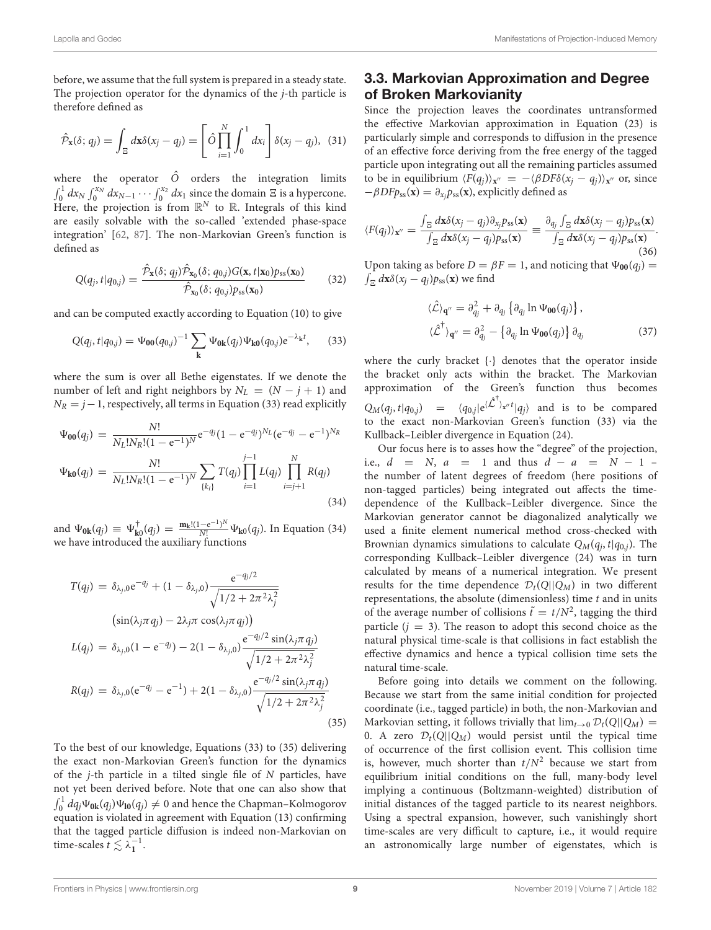before, we assume that the full system is prepared in a steady state. The projection operator for the dynamics of the j-th particle is therefore defined as

$$
\hat{\mathcal{P}}_{\mathbf{x}}(\delta; q_j) = \int_{\Xi} d\mathbf{x} \delta(x_j - q_j) = \left[ \hat{O} \prod_{i=1}^N \int_0^1 dx_i \right] \delta(x_j - q_j), \tag{31}
$$

where the operator  $\hat{O}$  orders the integration limits  $\int_0^1 dx_N \int_0^{x_N} dx_{N-1} \cdots \int_0^{x_2} dx_1$  since the domain  $\Xi$  is a hypercone. Here, the projection is from  $\mathbb{R}^N$  to  $\mathbb{R}$ . Integrals of this kind are easily solvable with the so-called 'extended phase-space integration' [\[62,](#page-14-15) [87\]](#page-15-14). The non-Markovian Green's function is defined as

$$
Q(q_j, t | q_{0,j}) = \frac{\hat{\mathcal{P}}_{\mathbf{x}}(\delta; q_j) \hat{\mathcal{P}}_{\mathbf{x}_0}(\delta; q_{0,j}) G(\mathbf{x}, t | \mathbf{x}_0) p_{ss}(\mathbf{x}_0)}{\hat{\mathcal{P}}_{\mathbf{x}_0}(\delta; q_{0,j}) p_{ss}(\mathbf{x}_0)}
$$
(32)

and can be computed exactly according to Equation (10) to give

$$
Q(q_j, t | q_{0,j}) = \Psi_{00}(q_{0,j})^{-1} \sum_{k} \Psi_{0k}(q_j) \Psi_{k0}(q_{0,j}) e^{-\lambda_k t}, \quad (33)
$$

where the sum is over all Bethe eigenstates. If we denote the number of left and right neighbors by  $N_L = (N - j + 1)$  and  $N_R = j-1$ , respectively, all terms in Equation (33) read explicitly

$$
\Psi_{00}(q_j) = \frac{N!}{N_L! N_R! (1 - e^{-1})^N} e^{-q_j} (1 - e^{-q_j})^{N_L} (e^{-q_j} - e^{-1})^{N_R}
$$
  

$$
\Psi_{k0}(q_j) = \frac{N!}{N_L! N_R! (1 - e^{-1})^N} \sum_{\{k_j\}} T(q_j) \prod_{i=1}^{j-1} L(q_j) \prod_{i=j+1}^N R(q_j)
$$
(34)

and  $\Psi_{0k}(q_j) \equiv \Psi_{k0}^{\dagger}(q_j) = \frac{m_k! (1 - e^{-1})^N}{N!} \Psi_{k0}(q_j)$ . In Equation (34) we have introduced the auxiliary functions

$$
T(q_j) = \delta_{\lambda_j,0} e^{-q_j} + (1 - \delta_{\lambda_j,0}) \frac{e^{-q_j/2}}{\sqrt{1/2 + 2\pi^2 \lambda_j^2}}
$$
  
\n
$$
(\sin(\lambda_j \pi q_j) - 2\lambda_j \pi \cos(\lambda_j \pi q_j))
$$
  
\n
$$
L(q_j) = \delta_{\lambda_j,0} (1 - e^{-q_j}) - 2(1 - \delta_{\lambda_j,0}) \frac{e^{-q_j/2} \sin(\lambda_j \pi q_j)}{\sqrt{1/2 + 2\pi^2 \lambda_j^2}}
$$
  
\n
$$
R(q_j) = \delta_{\lambda_j,0} (e^{-q_j} - e^{-1}) + 2(1 - \delta_{\lambda_j,0}) \frac{e^{-q_j/2} \sin(\lambda_j \pi q_j)}{\sqrt{1/2 + 2\pi^2 \lambda_j^2}}
$$
  
\n(35)

To the best of our knowledge, Equations (33) to (35) delivering the exact non-Markovian Green's function for the dynamics of the  $j$ -th particle in a tilted single file of  $N$  particles, have not yet been derived before. Note that one can also show that  $\int_0^1 dq_j \Psi_{0k}(q_j) \Psi_{10}(q_j) \neq 0$  and hence the Chapman–Kolmogorov equation is violated in agreement with Equation (13) confirming that the tagged particle diffusion is indeed non-Markovian on time-scales  $t \lesssim \lambda_1^{-1}$ .

## 3.3. Markovian Approximation and Degree of Broken Markovianity

Since the projection leaves the coordinates untransformed the effective Markovian approximation in Equation (23) is particularly simple and corresponds to diffusion in the presence of an effective force deriving from the free energy of the tagged particle upon integrating out all the remaining particles assumed to be in equilibrium  $\langle F(q_j) \rangle_{\mathbf{x}''} = -\langle \beta DF \delta(x_j - q_j) \rangle_{\mathbf{x}''}$  or, since  $-\beta DFp_{ss}(\mathbf{x}) = \partial_{x_j} p_{ss}(\mathbf{x})$ , explicitly defined as

$$
\langle F(q_j) \rangle_{\mathbf{x}''} = \frac{\int_{\Xi} d\mathbf{x} \delta(x_j - q_j) \partial_{x_j} p_{ss}(\mathbf{x})}{\int_{\Xi} d\mathbf{x} \delta(x_j - q_j) p_{ss}(\mathbf{x})} \equiv \frac{\partial_{q_j} \int_{\Xi} d\mathbf{x} \delta(x_j - q_j) p_{ss}(\mathbf{x})}{\int_{\Xi} d\mathbf{x} \delta(x_j - q_j) p_{ss}(\mathbf{x})}.
$$
\n(36)

Upon taking as before  $D = \beta F = 1$ , and noticing that  $\Psi_{00}(q_i) =$  $\int_{\Xi} d\mathbf{x} \delta(x_j - q_j) p_{ss}(\mathbf{x})$  we find

$$
\langle \hat{\mathcal{L}} \rangle_{\mathbf{q}''} = \partial_{q_j}^2 + \partial_{q_j} \left\{ \partial_{q_j} \ln \Psi_{00}(q_j) \right\},
$$
  

$$
\langle \hat{\mathcal{L}}^{\dagger} \rangle_{\mathbf{q}''} = \partial_{q_j}^2 - \left\{ \partial_{q_j} \ln \Psi_{00}(q_j) \right\} \partial_{q_j}
$$
 (37)

where the curly bracket {·} denotes that the operator inside the bracket only acts within the bracket. The Markovian approximation of the Green's function thus becomes  $Q_M(q_j, t | q_{0,j}) = \langle q_{0,j} | e^{(\hat{\mathcal{L}}^{\dagger})_{\mathbf{x}^{\prime \prime}} t} | q_j \rangle$  and is to be compared to the exact non-Markovian Green's function (33) via the Kullback–Leibler divergence in Equation (24).

Our focus here is to asses how the "degree" of the projection, i.e.,  $d = N$ ,  $a = 1$  and thus  $d - a = N - 1$ the number of latent degrees of freedom (here positions of non-tagged particles) being integrated out affects the timedependence of the Kullback–Leibler divergence. Since the Markovian generator cannot be diagonalized analytically we used a finite element numerical method cross-checked with Brownian dynamics simulations to calculate  $Q_M(q_j, t | q_{0,j})$ . The corresponding Kullback–Leibler divergence (24) was in turn calculated by means of a numerical integration. We present results for the time dependence  $\mathcal{D}_t(Q||Q_M)$  in two different representations, the absolute (dimensionless) time  $t$  and in units of the average number of collisions  $\tilde{t} = t/N^2$ , tagging the third particle  $(j = 3)$ . The reason to adopt this second choice as the natural physical time-scale is that collisions in fact establish the effective dynamics and hence a typical collision time sets the natural time-scale.

Before going into details we comment on the following. Because we start from the same initial condition for projected coordinate (i.e., tagged particle) in both, the non-Markovian and Markovian setting, it follows trivially that  $\lim_{t\to 0} \mathcal{D}_t(Q||Q_M)$  = 0. A zero  $\mathcal{D}_t(Q||Q_M)$  would persist until the typical time of occurrence of the first collision event. This collision time is, however, much shorter than  $t/N^2$  because we start from equilibrium initial conditions on the full, many-body level implying a continuous (Boltzmann-weighted) distribution of initial distances of the tagged particle to its nearest neighbors. Using a spectral expansion, however, such vanishingly short time-scales are very difficult to capture, i.e., it would require an astronomically large number of eigenstates, which is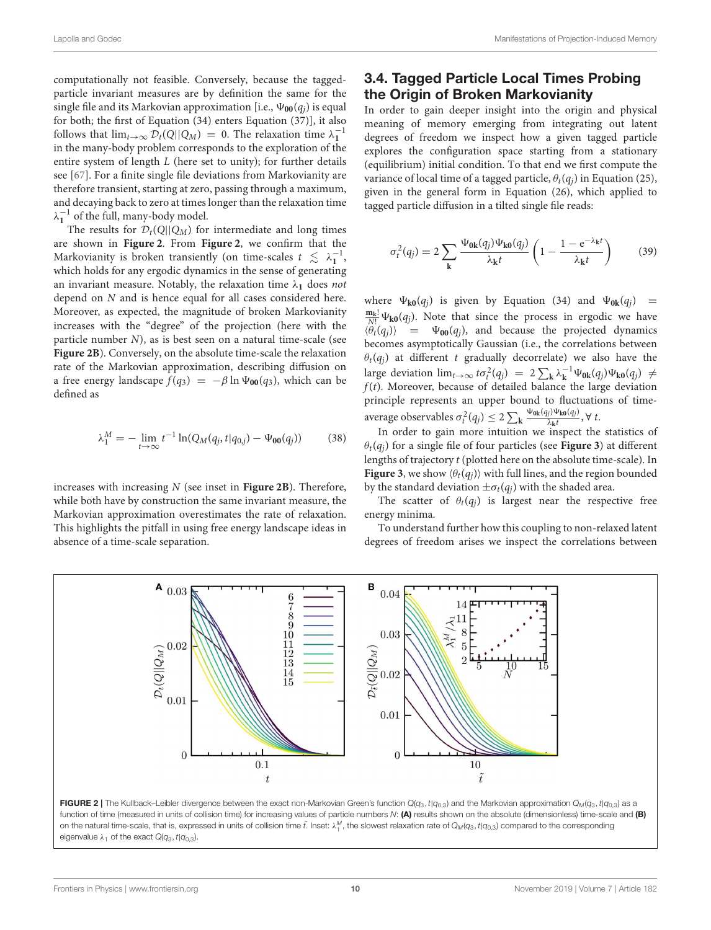computationally not feasible. Conversely, because the taggedparticle invariant measures are by definition the same for the single file and its Markovian approximation [i.e.,  $\Psi_{00}(q_i)$  is equal for both; the first of Equation (34) enters Equation (37)], it also follows that  $\lim_{t\to\infty} \mathcal{D}_t(Q||Q_M) = 0$ . The relaxation time  $\lambda_1^{-1}$ in the many-body problem corresponds to the exploration of the entire system of length L (here set to unity); for further details see [\[67\]](#page-14-13). For a finite single file deviations from Markovianity are therefore transient, starting at zero, passing through a maximum, and decaying back to zero at times longer than the relaxation time  $\lambda_1^{-1}$  of the full, many-body model.

The results for  $\mathcal{D}_t(Q||Q_M)$  for intermediate and long times are shown in **[Figure 2](#page-9-0)**. From **[Figure 2](#page-9-0)**, we confirm that the Markovianity is broken transiently (on time-scales  $t \leq \lambda_1^{-1}$ , which holds for any ergodic dynamics in the sense of generating an invariant measure. Notably, the relaxation time  $\lambda_1$  does not depend on N and is hence equal for all cases considered here. Moreover, as expected, the magnitude of broken Markovianity increases with the "degree" of the projection (here with the particle number N), as is best seen on a natural time-scale (see **[Figure 2B](#page-9-0)**). Conversely, on the absolute time-scale the relaxation rate of the Markovian approximation, describing diffusion on a free energy landscape  $f(q_3) = -\beta \ln \Psi_{00}(q_3)$ , which can be defined as

$$
\lambda_1^M = -\lim_{t \to \infty} t^{-1} \ln(Q_M(q_j, t | q_{0,j}) - \Psi_{00}(q_j)) \tag{38}
$$

increases with increasing N (see inset in **[Figure 2B](#page-9-0)**). Therefore, while both have by construction the same invariant measure, the Markovian approximation overestimates the rate of relaxation. This highlights the pitfall in using free energy landscape ideas in absence of a time-scale separation.

## 3.4. Tagged Particle Local Times Probing the Origin of Broken Markovianity

In order to gain deeper insight into the origin and physical meaning of memory emerging from integrating out latent degrees of freedom we inspect how a given tagged particle explores the configuration space starting from a stationary (equilibrium) initial condition. To that end we first compute the variance of local time of a tagged particle,  $\theta_t(q_i)$  in Equation (25), given in the general form in Equation (26), which applied to tagged particle diffusion in a tilted single file reads:

$$
\sigma_t^2(q_j) = 2 \sum_{\mathbf{k}} \frac{\Psi_{0\mathbf{k}}(q_j) \Psi_{\mathbf{k0}}(q_j)}{\lambda_{\mathbf{k}} t} \left( 1 - \frac{1 - e^{-\lambda_{\mathbf{k}} t}}{\lambda_{\mathbf{k}} t} \right) \tag{39}
$$

where  $\Psi_{k0}(q_i)$  is given by Equation (34) and  $\Psi_{0k}(q_i)$  =  $\frac{m_k!}{N!} \Psi_{k0}(q_j)$ . Note that since the process in ergodic we have  $\langle \theta_t(q_i) \rangle$  =  $\Psi_{00}(q_i)$ , and because the projected dynamics becomes asymptotically Gaussian (i.e., the correlations between  $\theta_t(q_i)$  at different t gradually decorrelate) we also have the large deviation  $\lim_{t\to\infty} t\sigma_t^2(q_j) = 2 \sum_{\mathbf{k}} \lambda_{\mathbf{k}}^{-1} \Psi_{0\mathbf{k}}(q_j) \Psi_{\mathbf{k0}}(q_j) \neq$  $f(t)$ . Moreover, because of detailed balance the large deviation principle represents an upper bound to fluctuations of timeaverage observables  $\sigma_t^2(q_j) \leq 2 \sum_{\mathbf{k}} \frac{\Psi_{\text{0k}}(q_j) \Psi_{\text{k0}}(q_j)}{\lambda_{\mathbf{k}} t}$  $\frac{\partial f}{\partial k}$  $\frac{\partial \mathbf{F}(q)}{\partial k}$ ,  $\forall$  t.

In order to gain more intuition we inspect the statistics of  $\theta_t(q_i)$  for a single file of four particles (see **[Figure 3](#page-10-0)**) at different lengths of trajectory t (plotted here on the absolute time-scale). In **[Figure 3](#page-10-0)**, we show  $\langle \theta_t(q_i) \rangle$  with full lines, and the region bounded by the standard deviation  $\pm \sigma_t(q_j)$  with the shaded area.

The scatter of  $\theta_t(q_i)$  is largest near the respective free energy minima.

To understand further how this coupling to non-relaxed latent degrees of freedom arises we inspect the correlations between



<span id="page-9-0"></span>function of time (measured in units of collision time) for increasing values of particle numbers N: (A) results shown on the absolute (dimensionless) time-scale and (B) on the natural time-scale, that is, expressed in units of collision time  $\tilde{t}$ . Inset:  $\lambda_1^M$ , the slowest relaxation rate of  $Q_M(q_3,t|q_{0,3})$  compared to the corresponding eigenvalue  $\lambda_1$  of the exact  $Q(q_3, t|q_{0,3})$ .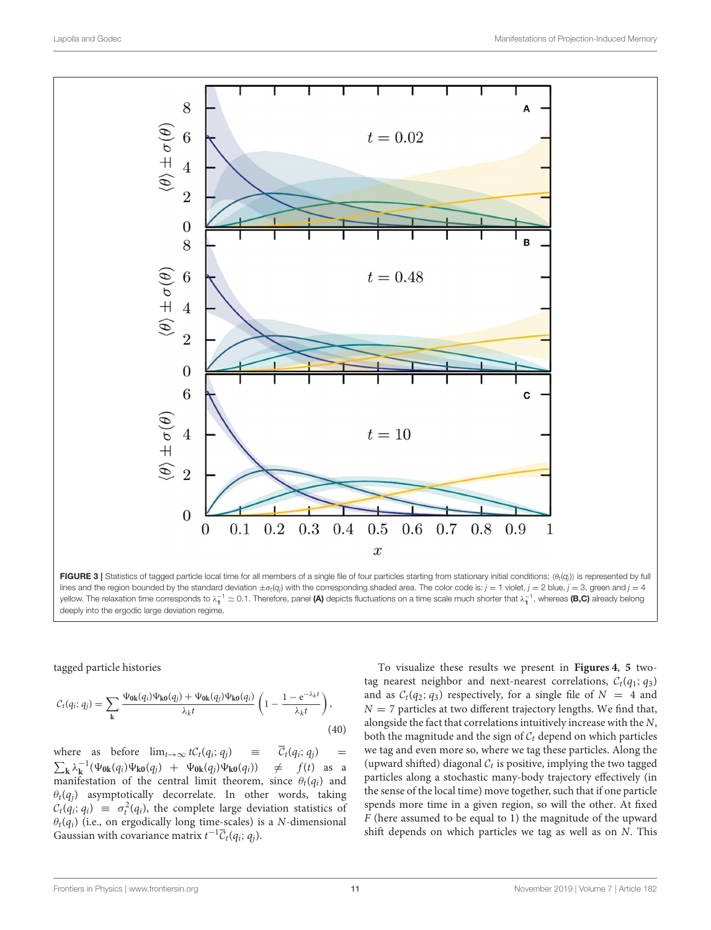

<span id="page-10-0"></span>FIGURE 3 | Statistics of tagged particle local time for all members of a single file of four particles starting from stationary initial conditions;  $\langle \theta_t(q_j) \rangle$  is represented by full lines and the region bounded by the standard deviation  $\pm\sigma_{\rm f}(q_j)$  with the corresponding shaded area. The color code is:  $j=1$  violet,  $j=2$  blue,  $j=3$ , green and  $j=4$ yellow. The relaxation time corresponds to  $\lambda_1^{-1} \simeq 0.1$ . Therefore, panel (A) depicts fluctuations on a time scale much shorter that  $\lambda_1^{-1}$ , whereas (B,C) already belong deeply into the ergodic large deviation regime.

tagged particle histories

$$
C_t(q_i; q_j) = \sum_{\mathbf{k}} \frac{\Psi_{\mathbf{0}\mathbf{k}}(q_i)\Psi_{\mathbf{k}\mathbf{0}}(q_j) + \Psi_{\mathbf{0}\mathbf{k}}(q_j)\Psi_{\mathbf{k}\mathbf{0}}(q_i)}{\lambda_k t} \left(1 - \frac{1 - e^{-\lambda_k t}}{\lambda_k t}\right),\tag{40}
$$

where as before  $\lim_{t\to\infty} tC_t(q_i; q_j)$  =  $\overline{C}_t(q_i; q_j)$  =  $\sum_{\mathbf{k}} \lambda_{\mathbf{k}}^{-1} (\Psi_{0\mathbf{k}}(q_i) \Psi_{\mathbf{k0}}(q_j) + \Psi_{0\mathbf{k}}(q_j) \Psi_{\mathbf{k0}}(q_i)) \neq f(t)$  as a manifestation of the central limit theorem, since  $\theta_t(q_i)$  and  $\theta_t(q_j)$  asymptotically decorrelate. In other words, taking  $C_t(q_i; q_i) \equiv \sigma_t^2(q_i)$ , the complete large deviation statistics of  $\theta_t(q_i)$  (i.e., on ergodically long time-scales) is a N-dimensional Gaussian with covariance matrix  $t^{-1}\overline{\mathcal{C}}_t(q_i; q_j)$ .

To visualize these results we present in **[Figures 4](#page-11-0)**, **[5](#page-12-0)** twotag nearest neighbor and next-nearest correlations,  $C_t(q_1; q_3)$ and as  $C_t(q_2; q_3)$  respectively, for a single file of  $N = 4$  and  $N = 7$  particles at two different trajectory lengths. We find that, alongside the fact that correlations intuitively increase with the N, both the magnitude and the sign of  $C_t$  depend on which particles we tag and even more so, where we tag these particles. Along the (upward shifted) diagonal  $C_t$  is positive, implying the two tagged particles along a stochastic many-body trajectory effectively (in the sense of the local time) move together, such that if one particle spends more time in a given region, so will the other. At fixed F (here assumed to be equal to 1) the magnitude of the upward shift depends on which particles we tag as well as on N. This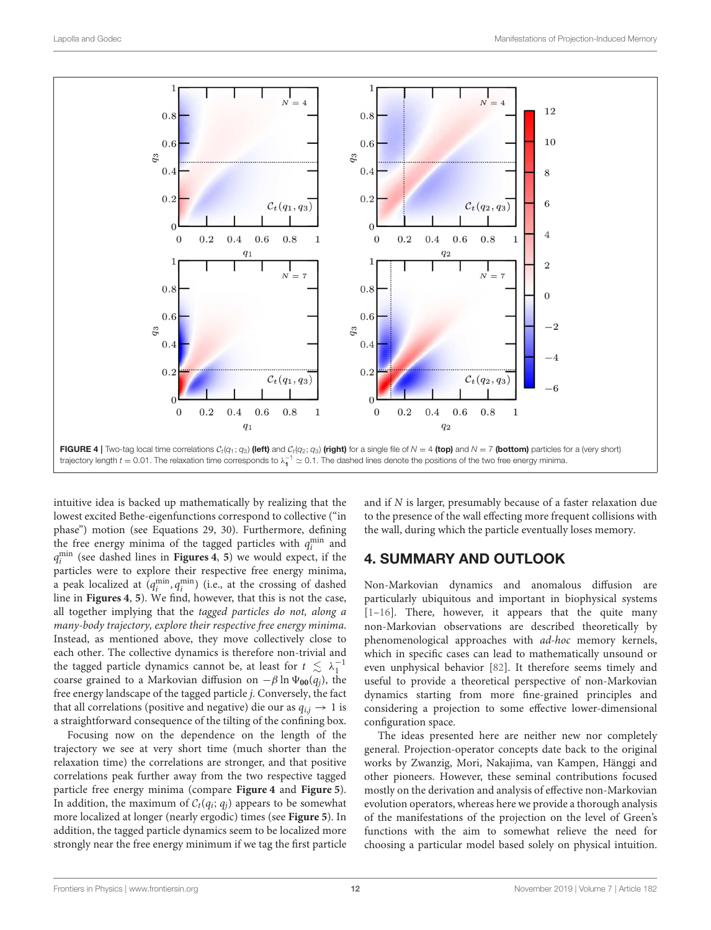

<span id="page-11-0"></span>intuitive idea is backed up mathematically by realizing that the lowest excited Bethe-eigenfunctions correspond to collective ("in phase") motion (see Equations 29, 30). Furthermore, defining the free energy minima of the tagged particles with  $q_i^{\min}$  and q min i (see dashed lines in **[Figures 4](#page-11-0)**, **[5](#page-12-0)**) we would expect, if the particles were to explore their respective free energy minima, a peak localized at  $(q_i^{\min}, q_i^{\min})$  (i.e., at the crossing of dashed line in **[Figures 4](#page-11-0)**, **[5](#page-12-0)**). We find, however, that this is not the case, all together implying that the tagged particles do not, along a many-body trajectory, explore their respective free energy minima. Instead, as mentioned above, they move collectively close to each other. The collective dynamics is therefore non-trivial and the tagged particle dynamics cannot be, at least for  $t \lesssim \lambda_1^{-1}$ coarse grained to a Markovian diffusion on  $-\beta \ln \Psi_{00}(q_i)$ , the free energy landscape of the tagged particle j. Conversely, the fact that all correlations (positive and negative) die our as  $q_{i,j} \rightarrow 1$  is a straightforward consequence of the tilting of the confining box.

Focusing now on the dependence on the length of the trajectory we see at very short time (much shorter than the relaxation time) the correlations are stronger, and that positive correlations peak further away from the two respective tagged particle free energy minima (compare **[Figure 4](#page-11-0)** and **[Figure 5](#page-12-0)**). In addition, the maximum of  $C_t(q_i; q_i)$  appears to be somewhat more localized at longer (nearly ergodic) times (see **[Figure 5](#page-12-0)**). In addition, the tagged particle dynamics seem to be localized more strongly near the free energy minimum if we tag the first particle and if N is larger, presumably because of a faster relaxation due to the presence of the wall effecting more frequent collisions with the wall, during which the particle eventually loses memory.

## 4. SUMMARY AND OUTLOOK

Non-Markovian dynamics and anomalous diffusion are particularly ubiquitous and important in biophysical systems [\[1–](#page-13-0)[16\]](#page-13-3). There, however, it appears that the quite many non-Markovian observations are described theoretically by phenomenological approaches with ad-hoc memory kernels, which in specific cases can lead to mathematically unsound or even unphysical behavior [\[82\]](#page-15-11). It therefore seems timely and useful to provide a theoretical perspective of non-Markovian dynamics starting from more fine-grained principles and considering a projection to some effective lower-dimensional configuration space.

The ideas presented here are neither new nor completely general. Projection-operator concepts date back to the original works by Zwanzig, Mori, Nakajima, van Kampen, Hänggi and other pioneers. However, these seminal contributions focused mostly on the derivation and analysis of effective non-Markovian evolution operators, whereas here we provide a thorough analysis of the manifestations of the projection on the level of Green's functions with the aim to somewhat relieve the need for choosing a particular model based solely on physical intuition.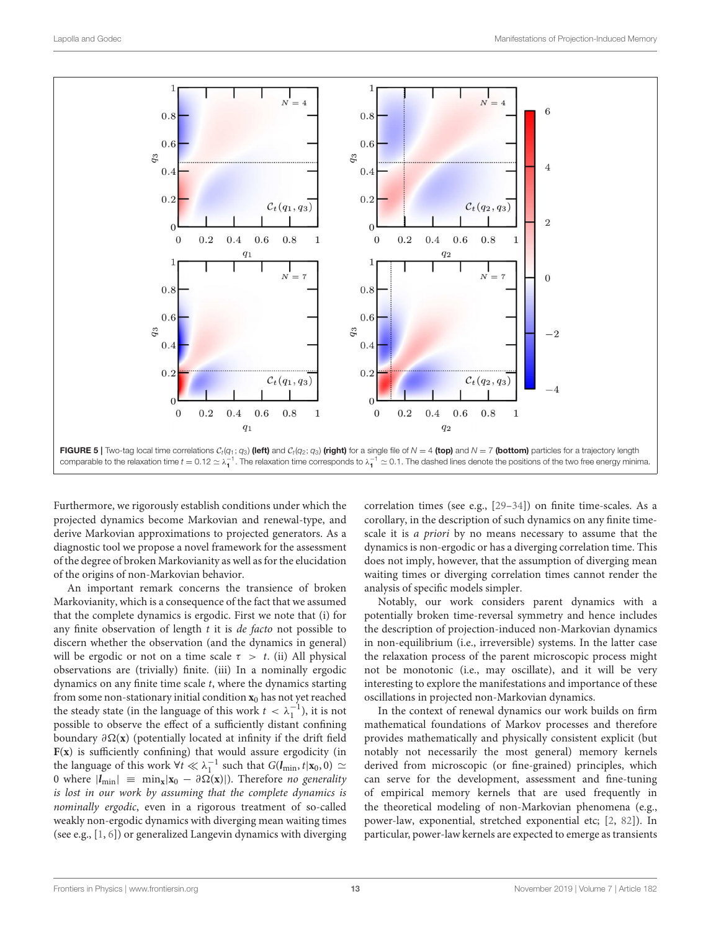

<span id="page-12-0"></span>Furthermore, we rigorously establish conditions under which the projected dynamics become Markovian and renewal-type, and derive Markovian approximations to projected generators. As a diagnostic tool we propose a novel framework for the assessment of the degree of broken Markovianity as well as for the elucidation of the origins of non-Markovian behavior.

An important remark concerns the transience of broken Markovianity, which is a consequence of the fact that we assumed that the complete dynamics is ergodic. First we note that (i) for any finite observation of length  $t$  it is *de facto* not possible to discern whether the observation (and the dynamics in general) will be ergodic or not on a time scale  $\tau > t$ . (ii) All physical observations are (trivially) finite. (iii) In a nominally ergodic dynamics on any finite time scale t, where the dynamics starting from some non-stationary initial condition  $x_0$  has not yet reached the steady state (in the language of this work  $t < \lambda_1^{-1}$ ), it is not possible to observe the effect of a sufficiently distant confining boundary ∂(**x**) (potentially located at infinity if the drift field **F**(**x**) is sufficiently confining) that would assure ergodicity (in the language of this work  $\forall t \ll \lambda_1^{-1}$  such that  $G(l_{\min}, t|\mathbf{x}_0, 0) \simeq$ 0 where  $|l_{\text{min}}| \equiv \min_{\mathbf{x}} |\mathbf{x}_0 - \partial \Omega(\mathbf{x})|$ . Therefore no generality is lost in our work by assuming that the complete dynamics is nominally ergodic, even in a rigorous treatment of so-called weakly non-ergodic dynamics with diverging mean waiting times (see e.g., [\[1,](#page-13-0) [6\]](#page-13-9)) or generalized Langevin dynamics with diverging correlation times (see e.g., [\[29–](#page-14-16)[34\]](#page-14-17)) on finite time-scales. As a corollary, in the description of such dynamics on any finite timescale it is a priori by no means necessary to assume that the dynamics is non-ergodic or has a diverging correlation time. This does not imply, however, that the assumption of diverging mean waiting times or diverging correlation times cannot render the analysis of specific models simpler.

Notably, our work considers parent dynamics with a potentially broken time-reversal symmetry and hence includes the description of projection-induced non-Markovian dynamics in non-equilibrium (i.e., irreversible) systems. In the latter case the relaxation process of the parent microscopic process might not be monotonic (i.e., may oscillate), and it will be very interesting to explore the manifestations and importance of these oscillations in projected non-Markovian dynamics.

In the context of renewal dynamics our work builds on firm mathematical foundations of Markov processes and therefore provides mathematically and physically consistent explicit (but notably not necessarily the most general) memory kernels derived from microscopic (or fine-grained) principles, which can serve for the development, assessment and fine-tuning of empirical memory kernels that are used frequently in the theoretical modeling of non-Markovian phenomena (e.g., power-law, exponential, stretched exponential etc; [\[2,](#page-13-8) [82\]](#page-15-11)). In particular, power-law kernels are expected to emerge as transients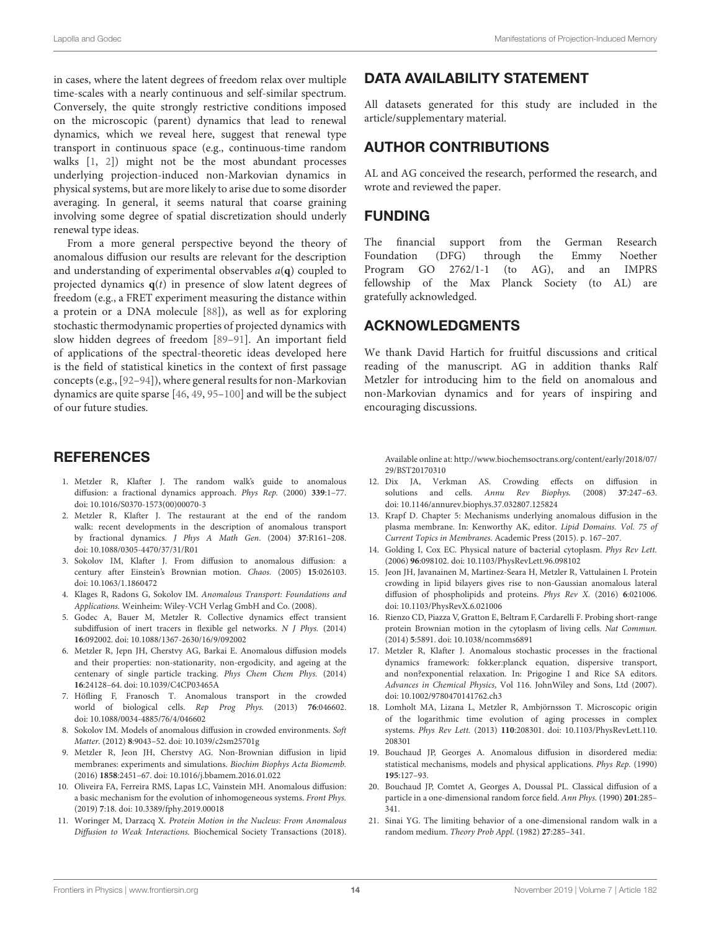in cases, where the latent degrees of freedom relax over multiple time-scales with a nearly continuous and self-similar spectrum. Conversely, the quite strongly restrictive conditions imposed on the microscopic (parent) dynamics that lead to renewal dynamics, which we reveal here, suggest that renewal type transport in continuous space (e.g., continuous-time random walks [\[1,](#page-13-0) [2\]](#page-13-8)) might not be the most abundant processes underlying projection-induced non-Markovian dynamics in physical systems, but are more likely to arise due to some disorder averaging. In general, it seems natural that coarse graining involving some degree of spatial discretization should underly renewal type ideas.

From a more general perspective beyond the theory of anomalous diffusion our results are relevant for the description and understanding of experimental observables a(**q**) coupled to projected dynamics  $q(t)$  in presence of slow latent degrees of freedom (e.g., a FRET experiment measuring the distance within a protein or a DNA molecule [\[88\]](#page-15-15)), as well as for exploring stochastic thermodynamic properties of projected dynamics with slow hidden degrees of freedom [\[89–](#page-15-16)[91\]](#page-15-17). An important field of applications of the spectral-theoretic ideas developed here is the field of statistical kinetics in the context of first passage concepts (e.g., [\[92](#page-15-18)[–94\]](#page-15-19)), where general results for non-Markovian dynamics are quite sparse [\[46,](#page-14-18) [49,](#page-14-19) [95–](#page-15-20)[100\]](#page-15-21) and will be the subject of our future studies.

## **REFERENCES**

- <span id="page-13-0"></span>1. Metzler R, Klafter J. The random walk's guide to anomalous diffusion: a fractional dynamics approach. Phys Rep. (2000) **339**:1–77. doi: [10.1016/S0370-1573\(00\)00070-3](https://doi.org/10.1016/S0370-1573(00)00070-3)
- <span id="page-13-8"></span>2. Metzler R, Klafter J. The restaurant at the end of the random walk: recent developments in the description of anomalous transport by fractional dynamics. J Phys A Math Gen. (2004) **37**:R161–208. doi: [10.1088/0305-4470/37/31/R01](https://doi.org/10.1088/0305-4470/37/31/R01)
- <span id="page-13-4"></span>3. Sokolov IM, Klafter J. From diffusion to anomalous diffusion: a century after Einstein's Brownian motion. Chaos. (2005) **15**:026103. doi: [10.1063/1.1860472](https://doi.org/10.1063/1.1860472)
- 4. Klages R, Radons G, Sokolov IM. Anomalous Transport: Foundations and Applications. Weinheim: Wiley-VCH Verlag GmbH and Co. (2008).
- 5. Godec A, Bauer M, Metzler R. Collective dynamics effect transient subdiffusion of inert tracers in flexible gel networks. N J Phys. (2014) **16**:092002. doi: [10.1088/1367-2630/16/9/092002](https://doi.org/10.1088/1367-2630/16/9/092002)
- <span id="page-13-9"></span>6. Metzler R, Jepn JH, Cherstvy AG, Barkai E. Anomalous diffusion models and their properties: non-stationarity, non-ergodicity, and ageing at the centenary of single particle tracking. Phys Chem Chem Phys. (2014) **16**:24128–64. doi: [10.1039/C4CP03465A](https://doi.org/10.1039/C4CP03465A)
- 7. Höfling F, Franosch T. Anomalous transport in the crowded world of biological cells. Rep Prog Phys. (2013) **76**:046602. doi: [10.1088/0034-4885/76/4/046602](https://doi.org/10.1088/0034-4885/76/4/046602)
- 8. Sokolov IM. Models of anomalous diffusion in crowded environments. Soft Matter. (2012) **8**:9043–52. doi: [10.1039/c2sm25701g](https://doi.org/10.1039/c2sm25701g)
- 9. Metzler R, Jeon JH, Cherstvy AG. Non-Brownian diffusion in lipid membranes: experiments and simulations. Biochim Biophys Acta Biomemb. (2016) **1858**:2451–67. doi: [10.1016/j.bbamem.2016.01.022](https://doi.org/10.1016/j.bbamem.2016.01.022)
- <span id="page-13-1"></span>10. Oliveira FA, Ferreira RMS, Lapas LC, Vainstein MH. Anomalous diffusion: a basic mechanism for the evolution of inhomogeneous systems. Front Phys. (2019) **7**:18. doi: [10.3389/fphy.2019.00018](https://doi.org/10.3389/fphy.2019.00018)
- <span id="page-13-2"></span>11. Woringer M, Darzacq X. Protein Motion in the Nucleus: From Anomalous Diffusion to Weak Interactions. Biochemical Society Transactions (2018).

## DATA AVAILABILITY STATEMENT

All datasets generated for this study are included in the article/supplementary material.

## AUTHOR CONTRIBUTIONS

AL and AG conceived the research, performed the research, and wrote and reviewed the paper.

## FUNDING

The financial support from the German Research Foundation (DFG) through the Emmy Noether Program GO 2762/1-1 (to AG), and an IMPRS fellowship of the Max Planck Society (to AL) are gratefully acknowledged.

## ACKNOWLEDGMENTS

We thank David Hartich for fruitful discussions and critical reading of the manuscript. AG in addition thanks Ralf Metzler for introducing him to the field on anomalous and non-Markovian dynamics and for years of inspiring and encouraging discussions.

Available online at: [http://www.biochemsoctrans.org/content/early/2018/07/](http://www.biochemsoctrans.org/content/early/2018/07/29/BST20170310) [29/BST20170310](http://www.biochemsoctrans.org/content/early/2018/07/29/BST20170310)

- 12. Dix JA, Verkman AS. Crowding effects on diffusion in solutions and cells. Annu Rev Biophys. (2008) **37**:247–63. doi: [10.1146/annurev.biophys.37.032807.125824](https://doi.org/10.1146/annurev.biophys.37.032807.125824)
- 13. Krapf D. Chapter 5: Mechanisms underlying anomalous diffusion in the plasma membrane. In: Kenworthy AK, editor. Lipid Domains. Vol. 75 of Current Topics in Membranes. Academic Press (2015). p. 167–207.
- 14. Golding I, Cox EC. Physical nature of bacterial cytoplasm. Phys Rev Lett. (2006) **96**:098102. doi: [10.1103/PhysRevLett.96.098102](https://doi.org/10.1103/PhysRevLett.96.098102)
- 15. Jeon JH, Javanainen M, Martinez-Seara H, Metzler R, Vattulainen I. Protein crowding in lipid bilayers gives rise to non-Gaussian anomalous lateral diffusion of phospholipids and proteins. Phys Rev X. (2016) **6**:021006. doi: [10.1103/PhysRevX.6.021006](https://doi.org/10.1103/PhysRevX.6.021006)
- <span id="page-13-3"></span>16. Rienzo CD, Piazza V, Gratton E, Beltram F, Cardarelli F. Probing short-range protein Brownian motion in the cytoplasm of living cells. Nat Commun. (2014) **5**:5891. doi: [10.1038/ncomms6891](https://doi.org/10.1038/ncomms6891)
- <span id="page-13-5"></span>17. Metzler R, Klafter J. Anomalous stochastic processes in the fractional dynamics framework: fokker:planck equation, dispersive transport, and non?exponential relaxation. In: Prigogine I and Rice SA editors. Advances in Chemical Physics, Vol 116. JohnWiley and Sons, Ltd (2007). doi: [10.1002/9780470141762.ch3](https://doi.org/10.1002/9780470141762.ch3)
- <span id="page-13-6"></span>18. Lomholt MA, Lizana L, Metzler R, Ambjörnsson T. Microscopic origin of the logarithmic time evolution of aging processes in complex systems. Phys Rev Lett. (2013) **110**[:208301. doi: 10.1103/PhysRevLett.110.](https://doi.org/10.1103/PhysRevLett.110.208301) 208301
- <span id="page-13-7"></span>19. Bouchaud JP, Georges A. Anomalous diffusion in disordered media: statistical mechanisms, models and physical applications. Phys Rep. (1990) **195**:127–93.
- 20. Bouchaud JP, Comtet A, Georges A, Doussal PL. Classical diffusion of a particle in a one-dimensional random force field. Ann Phys. (1990) **201**:285– 341.
- 21. Sinai YG. The limiting behavior of a one-dimensional random walk in a random medium. Theory Prob Appl. (1982) **27**:285–341.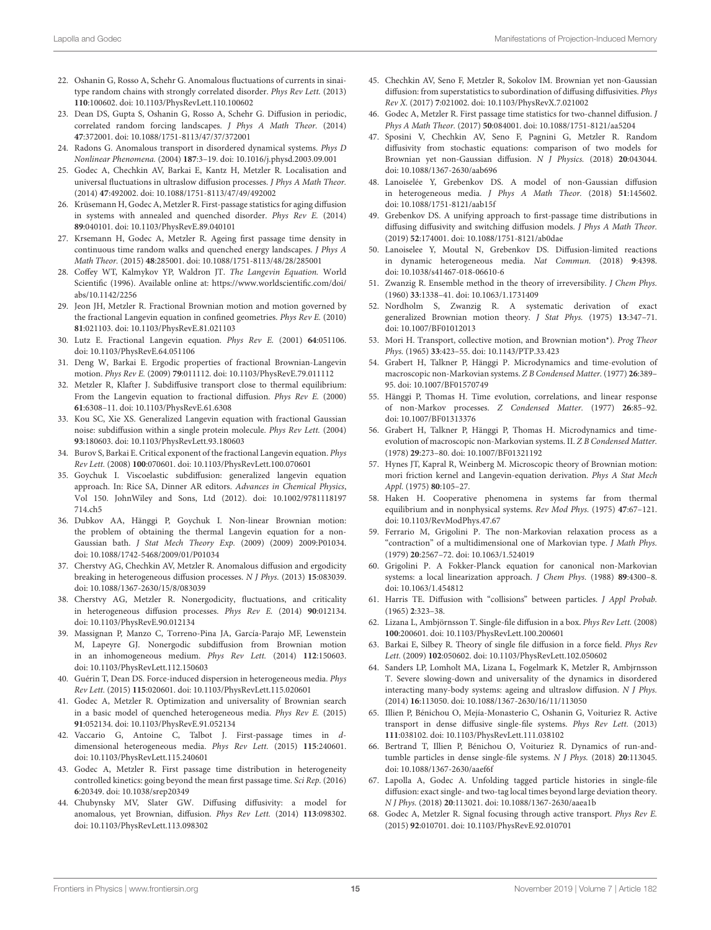- 22. Oshanin G, Rosso A, Schehr G. Anomalous fluctuations of currents in sinaitype random chains with strongly correlated disorder. Phys Rev Lett. (2013) **110**:100602. doi: [10.1103/PhysRevLett.110.100602](https://doi.org/10.1103/PhysRevLett.110.100602)
- 23. Dean DS, Gupta S, Oshanin G, Rosso A, Schehr G. Diffusion in periodic, correlated random forcing landscapes. J Phys A Math Theor. (2014) **47**:372001. doi: [10.1088/1751-8113/47/37/372001](https://doi.org/10.1088/1751-8113/47/37/372001)
- 24. Radons G. Anomalous transport in disordered dynamical systems. Phys D Nonlinear Phenomena. (2004) **187**:3–19. doi: [10.1016/j.physd.2003.09.001](https://doi.org/10.1016/j.physd.2003.09.001)
- 25. Godec A, Chechkin AV, Barkai E, Kantz H, Metzler R. Localisation and universal fluctuations in ultraslow diffusion processes. J Phys A Math Theor. (2014) **47**:492002. doi: [10.1088/1751-8113/47/49/492002](https://doi.org/10.1088/1751-8113/47/49/492002)
- 26. Krüsemann H, Godec A, Metzler R. First-passage statistics for aging diffusion in systems with annealed and quenched disorder. Phys Rev E. (2014) **89**:040101. doi: [10.1103/PhysRevE.89.040101](https://doi.org/10.1103/PhysRevE.89.040101)
- <span id="page-14-0"></span>27. Krsemann H, Godec A, Metzler R. Ageing first passage time density in continuous time random walks and quenched energy landscapes. J Phys A Math Theor. (2015) **48**:285001. doi: [10.1088/1751-8113/48/28/285001](https://doi.org/10.1088/1751-8113/48/28/285001)
- <span id="page-14-1"></span>28. Coffey WT, Kalmykov YP, Waldron JT. The Langevin Equation. World Scientific (1996). Available online at: [https://www.worldscientific.com/doi/](https://www.worldscientific.com/doi/abs/10.1142/2256) [abs/10.1142/2256](https://www.worldscientific.com/doi/abs/10.1142/2256)
- <span id="page-14-16"></span>29. Jeon JH, Metzler R. Fractional Brownian motion and motion governed by the fractional Langevin equation in confined geometries. Phys Rev E. (2010) **81**:021103. doi: [10.1103/PhysRevE.81.021103](https://doi.org/10.1103/PhysRevE.81.021103)
- 30. Lutz E. Fractional Langevin equation. Phys Rev E. (2001) **64**:051106. doi: [10.1103/PhysRevE.64.051106](https://doi.org/10.1103/PhysRevE.64.051106)
- 31. Deng W, Barkai E. Ergodic properties of fractional Brownian-Langevin motion. Phys Rev E. (2009) **79**:011112. doi: [10.1103/PhysRevE.79.011112](https://doi.org/10.1103/PhysRevE.79.011112)
- 32. Metzler R, Klafter J. Subdiffusive transport close to thermal equilibrium: From the Langevin equation to fractional diffusion. Phys Rev E. (2000) **61**:6308–11. doi: [10.1103/PhysRevE.61.6308](https://doi.org/10.1103/PhysRevE.61.6308)
- 33. Kou SC, Xie XS. Generalized Langevin equation with fractional Gaussian noise: subdiffusion within a single protein molecule. Phys Rev Lett. (2004) **93**:180603. doi: [10.1103/PhysRevLett.93.180603](https://doi.org/10.1103/PhysRevLett.93.180603)
- <span id="page-14-17"></span>34. Burov S, Barkai E. Critical exponent of the fractional Langevin equation. Phys Rev Lett. (2008) **100**:070601. doi: [10.1103/PhysRevLett.100.070601](https://doi.org/10.1103/PhysRevLett.100.070601)
- 35. Goychuk I. Viscoelastic subdiffusion: generalized langevin equation approach. In: Rice SA, Dinner AR editors. Advances in Chemical Physics, [Vol 150. JohnWiley and Sons, Ltd \(2012\). doi: 10.1002/9781118197](https://doi.org/10.1002/9781118197714.ch5) 714.ch5
- <span id="page-14-2"></span>36. Dubkov AA, Hänggi P, Goychuk I. Non-linear Brownian motion: the problem of obtaining the thermal Langevin equation for a non-Gaussian bath. J Stat Mech Theory Exp. (2009) (2009) 2009:P01034. doi: [10.1088/1742-5468/2009/01/P01034](https://doi.org/10.1088/1742-5468/2009/01/P01034)
- <span id="page-14-3"></span>37. Cherstvy AG, Chechkin AV, Metzler R. Anomalous diffusion and ergodicity breaking in heterogeneous diffusion processes. N J Phys. (2013) **15**:083039. doi: [10.1088/1367-2630/15/8/083039](https://doi.org/10.1088/1367-2630/15/8/083039)
- 38. Cherstvy AG, Metzler R. Nonergodicity, fluctuations, and criticality in heterogeneous diffusion processes. Phys Rev E. (2014) **90**:012134. doi: [10.1103/PhysRevE.90.012134](https://doi.org/10.1103/PhysRevE.90.012134)
- 39. Massignan P, Manzo C, Torreno-Pina JA, García-Parajo MF, Lewenstein M, Lapeyre GJ. Nonergodic subdiffusion from Brownian motion in an inhomogeneous medium. Phys Rev Lett. (2014) **112**:150603. doi: [10.1103/PhysRevLett.112.150603](https://doi.org/10.1103/PhysRevLett.112.150603)
- 40. Guérin T, Dean DS. Force-induced dispersion in heterogeneous media. Phys Rev Lett. (2015) **115**:020601. doi: [10.1103/PhysRevLett.115.020601](https://doi.org/10.1103/PhysRevLett.115.020601)
- 41. Godec A, Metzler R. Optimization and universality of Brownian search in a basic model of quenched heterogeneous media. Phys Rev E. (2015) **91**:052134. doi: [10.1103/PhysRevE.91.052134](https://doi.org/10.1103/PhysRevE.91.052134)
- 42. Vaccario G, Antoine C, Talbot J. First-passage times in ddimensional heterogeneous media. Phys Rev Lett. (2015) **115**:240601. doi: [10.1103/PhysRevLett.115.240601](https://doi.org/10.1103/PhysRevLett.115.240601)
- <span id="page-14-4"></span>43. Godec A, Metzler R. First passage time distribution in heterogeneity controlled kinetics: going beyond the mean first passage time. Sci Rep. (2016) **6**:20349. doi: [10.1038/srep20349](https://doi.org/10.1038/srep20349)
- <span id="page-14-5"></span>44. Chubynsky MV, Slater GW. Diffusing diffusivity: a model for anomalous, yet Brownian, diffusion. Phys Rev Lett. (2014) **113**:098302. doi: [10.1103/PhysRevLett.113.098302](https://doi.org/10.1103/PhysRevLett.113.098302)
- 45. Chechkin AV, Seno F, Metzler R, Sokolov IM. Brownian yet non-Gaussian diffusion: from superstatistics to subordination of diffusing diffusivities. Phys Rev X. (2017) **7**:021002. doi: [10.1103/PhysRevX.7.021002](https://doi.org/10.1103/PhysRevX.7.021002)
- <span id="page-14-18"></span>46. Godec A, Metzler R. First passage time statistics for two-channel diffusion. J Phys A Math Theor. (2017) **50**:084001. doi: [10.1088/1751-8121/aa5204](https://doi.org/10.1088/1751-8121/aa5204)
- 47. Sposini V, Chechkin AV, Seno F, Pagnini G, Metzler R. Random diffusivity from stochastic equations: comparison of two models for Brownian yet non-Gaussian diffusion. N J Physics. (2018) **20**:043044. doi: [10.1088/1367-2630/aab696](https://doi.org/10.1088/1367-2630/aab696)
- 48. Lanoiselée Y, Grebenkov DS. A model of non-Gaussian diffusion in heterogeneous media. J Phys A Math Theor. (2018) **51**:145602. doi: [10.1088/1751-8121/aab15f](https://doi.org/10.1088/1751-8121/aab15f)
- <span id="page-14-19"></span>49. Grebenkov DS. A unifying approach to first-passage time distributions in diffusing diffusivity and switching diffusion models. J Phys A Math Theor. (2019) **52**:174001. doi: [10.1088/1751-8121/ab0dae](https://doi.org/10.1088/1751-8121/ab0dae)
- <span id="page-14-6"></span>50. Lanoiselee Y, Moutal N, Grebenkov DS. Diffusion-limited reactions in dynamic heterogeneous media. Nat Commun. (2018) **9**:4398. doi: [10.1038/s41467-018-06610-6](https://doi.org/10.1038/s41467-018-06610-6)
- <span id="page-14-7"></span>51. Zwanzig R. Ensemble method in the theory of irreversibility. J Chem Phys. (1960) **33**:1338–41. doi: [10.1063/1.1731409](https://doi.org/10.1063/1.1731409)
- 52. Nordholm S, Zwanzig R. A systematic derivation of exact generalized Brownian motion theory. J Stat Phys. (1975) **13**:347–71. doi: [10.1007/BF01012013](https://doi.org/10.1007/BF01012013)
- 53. Mori H. Transport, collective motion, and Brownian motion\*). Prog Theor Phys. (1965) **33**:423–55. doi: [10.1143/PTP.33.423](https://doi.org/10.1143/PTP.33.423)
- <span id="page-14-9"></span>54. Grabert H, Talkner P, Hänggi P. Microdynamics and time-evolution of macroscopic non-Markovian systems. Z B Condensed Matter. (1977) **26**:389– 95. doi: [10.1007/BF01570749](https://doi.org/10.1007/BF01570749)
- <span id="page-14-14"></span>55. Hänggi P, Thomas H. Time evolution, correlations, and linear response of non-Markov processes. Z Condensed Matter. (1977) **26**:85–92. doi: [10.1007/BF01313376](https://doi.org/10.1007/BF01313376)
- <span id="page-14-10"></span>56. Grabert H, Talkner P, Hänggi P, Thomas H. Microdynamics and timeevolution of macroscopic non-Markovian systems. II. Z B Condensed Matter. (1978) **29**:273–80. doi: [10.1007/BF01321192](https://doi.org/10.1007/BF01321192)
- 57. Hynes JT, Kapral R, Weinberg M. Microscopic theory of Brownian motion: mori friction kernel and Langevin-equation derivation. Phys A Stat Mech Appl. (1975) **80**:105–27.
- 58. Haken H. Cooperative phenomena in systems far from thermal equilibrium and in nonphysical systems. Rev Mod Phys. (1975) **47**:67–121. doi: [10.1103/RevModPhys.47.67](https://doi.org/10.1103/RevModPhys.47.67)
- 59. Ferrario M, Grigolini P. The non-Markovian relaxation process as a "contraction" of a multidimensional one of Markovian type. J Math Phys. (1979) **20**:2567–72. doi: [10.1063/1.524019](https://doi.org/10.1063/1.524019)
- <span id="page-14-8"></span>60. Grigolini P. A Fokker-Planck equation for canonical non-Markovian systems: a local linearization approach. J Chem Phys. (1988) **89**:4300–8. doi: [10.1063/1.454812](https://doi.org/10.1063/1.454812)
- <span id="page-14-11"></span>61. Harris TE. Diffusion with "collisions" between particles. J Appl Probab. (1965) **2**:323–38.
- <span id="page-14-15"></span>62. Lizana L, Ambjörnsson T. Single-file diffusion in a box. Phys Rev Lett. (2008) **100**:200601. doi: [10.1103/PhysRevLett.100.200601](https://doi.org/10.1103/PhysRevLett.100.200601)
- 63. Barkai E, Silbey R. Theory of single file diffusion in a force field. Phys Rev Lett. (2009) **102**:050602. doi: [10.1103/PhysRevLett.102.050602](https://doi.org/10.1103/PhysRevLett.102.050602)
- 64. Sanders LP, Lomholt MA, Lizana L, Fogelmark K, Metzler R, Ambjrnsson T. Severe slowing-down and universality of the dynamics in disordered interacting many-body systems: ageing and ultraslow diffusion. N J Phys. (2014) **16**:113050. doi: [10.1088/1367-2630/16/11/113050](https://doi.org/10.1088/1367-2630/16/11/113050)
- 65. Illien P, Bénichou O, Mejía-Monasterio C, Oshanin G, Voituriez R. Active transport in dense diffusive single-file systems. Phys Rev Lett. (2013) **111**:038102. doi: [10.1103/PhysRevLett.111.038102](https://doi.org/10.1103/PhysRevLett.111.038102)
- 66. Bertrand T, Illien P, Bénichou O, Voituriez R. Dynamics of run-andtumble particles in dense single-file systems. N J Phys. (2018) **20**:113045. doi: [10.1088/1367-2630/aaef6f](https://doi.org/10.1088/1367-2630/aaef6f)
- <span id="page-14-13"></span>67. Lapolla A, Godec A. Unfolding tagged particle histories in single-file diffusion: exact single- and two-tag local times beyond large deviation theory. N J Phys. (2018) **20**:113021. doi: [10.1088/1367-2630/aaea1b](https://doi.org/10.1088/1367-2630/aaea1b)
- <span id="page-14-12"></span>68. Godec A, Metzler R. Signal focusing through active transport. Phys Rev E. (2015) **92**:010701. doi: [10.1103/PhysRevE.92.010701](https://doi.org/10.1103/PhysRevE.92.010701)